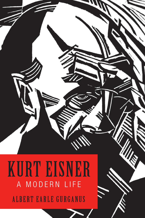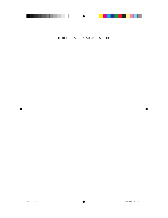KURT EISNER: A MODERN LIFE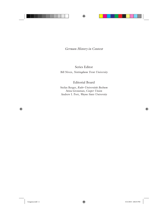#### *German History in Context*

### Series Editor

Bill Niven, *Nottingham Trent University*

### Editorial Board

Stefan Berger, *Ruhr-Universität Bochum* Atina Grossman, *Cooper Union* Andrew I. Port, *Wayne State University*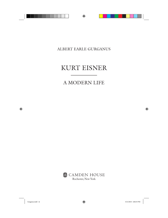### ALBERT EARLE GURGANUS

# KURT EISNER

# A MODERN LIFE

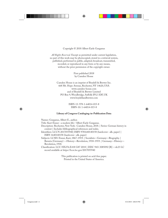#### Copyright © 2018 Albert Earle Gurganus

*All Rights Reserved.* Except as permitted under current legislation, no part of this work may be photocopied, stored in a retrieval system, published, performed in public, adapted, broadcast, transmitted, recorded, or reproduced in any form or by any means, without the prior permission of the copyright owner.

> First published 2018 by Camden House

Camden House is an imprint of Boydell & Brewer Inc. 668 Mt. Hope Avenue, Rochester, NY 14620, USA www.camden-house.com and of Boydell & Brewer Limited PO Box 9, Woodbridge, Suffolk IP12 3DF, UK www.boydellandbrewer.com

> ISBN-13: 978-1-64014-015-8 ISBN-10: 1-64014-015-8

#### **Library of Congress Cataloging-in-Publication Data**

Names: Gurganus, Albert E., author.

Title: Kurt Eisner : a modern life / Albert Earle Gurganus.

Description: Rochester, New York : Camden House, 2018. | Series: German history in context | Includes bibliographical references and index.

Identifiers: LCCN 2017055940| ISBN 9781640140158 (hardcover : alk. paper) | ISBN 1640140158 (hardcover : alk. paper)

Subjects: LCSH: Eisner, Kurt, 1867–1919. | Socialists—Germany—Biography. | Bavaria (Germany) —History—Revolution, 1918–1919. | Germany—History— Revolution, 1918.

Classification: LCC HX276.E418 G87 2018 | DDC 943/.3085092 [B] —dc23 LC record available at https://lccn.loc.gov/2017055940

> This publication is printed on acid-free paper. Printed in the United States of America.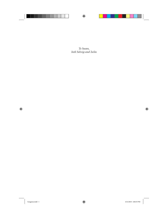*To Susan, both Solveig and Iselin*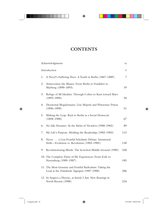# **CONTENTS**

| Acknowledgments<br>ix |                                                                                                          |                  |
|-----------------------|----------------------------------------------------------------------------------------------------------|------------------|
| Introduction          |                                                                                                          |                  |
| 1.                    | A Novel's Suffering Hero: A Youth in Berlin (1867-1889)                                                  | $\boldsymbol{7}$ |
| 2.                    | Aristocratize the Masses: From Berlin to Frankfurt to<br>Marburg (1890-1893)                             | 19               |
| 3.                    | Refuge of All Idealists: Through Cohen to Kant toward Marx<br>$(1893 - 1896)$                            | 34               |
| 4.                    | Dictatorial Megalomania: Lèse Majesté and Plötzensee Prison<br>$(1896 - 1898)$                           | 51               |
| 5.                    | Making the Leap: Back to Berlin as a Social Democrat<br>$(1898 - 1900)$                                  | 67               |
| 6.                    | No Idle Dreamer: At the Helm of Vorwärts (1900-1902)                                                     | 89               |
| 7.                    | My Life's Purpose: Molding the Readership (1902-1903)                                                    | 115              |
| 8.                    | Never a Less Fruitful Scholastic Debate: Intramural<br>Strife-Evolution vs. Revolution (1903-1905)       | 138              |
| 9.                    | Revolutionizing Minds: The Scorched Middle Ground (1905)                                                 | 160              |
|                       | 10. The Complete Parity of My Experiences: From Exile to<br>Nuremberg (1905-1907)                        | 185              |
|                       | 11. The Most Genuine and Fruitful Radicalism: Taking the<br>Lead at the Fränkische Tagespost (1907-1908) | 206              |
|                       | 12. So Suspect a Heretic, as Surely I Am: New Bearings in<br>North Bavaria (1908)                        | 224              |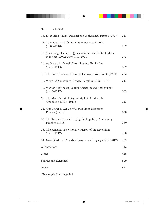| 13. Dear Little Whore: Personal and Professional Turmoil (1909)                                       | 243 |
|-------------------------------------------------------------------------------------------------------|-----|
| 14. To Find a Lost Life: From Nuremberg to Munich<br>$(1909 - 1910)$                                  | 259 |
| 15. Something of a Party Offiziosus in Bavaria: Political Editor<br>at the Münchener Post (1910-1911) | 272 |
| 16. At Peace with Myself: Resettling into Family Life<br>$(1912 - 1913)$                              | 289 |
| 17. The Powerlessness of Reason: The World War Erupts (1914)                                          | 303 |
| 18. Wretched Superfluity: Divided Loyalties (1915-1916)                                               | 317 |
| 19. War for War's Sake: Political Alienation and Realignment<br>$(1916 - 1917)$                       | 332 |
| 20. The Most Beautiful Days of My Life: Leading the<br>Opposition (1917-1918)                         | 347 |
| 21. Our Power to Act Now Grows: From Prisoner to<br>Premier (1918)                                    | 360 |
| 22. The Terror of Truth: Forging the Republic, Combatting<br>Reaction (1918)                          | 380 |
| 23. The Fantasies of a Visionary: Martyr of the Revolution<br>$(1918 - 1919)$                         | 400 |
| 24. Now Dead, as It Stands: Outcomes and Legacy (1919–2017)                                           | 425 |
| Abbreviations                                                                                         | 443 |
| <b>Notes</b>                                                                                          | 445 |
| Sources and References                                                                                | 529 |
| Index                                                                                                 | 543 |
|                                                                                                       |     |

*Photographs follow page* 288.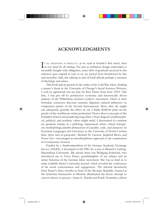### **ACKNOWLEDGMENTS**

IF ALL BEGINNING IS DIFFICULT, as we read in Goethe's first novel, then<br>so too must be all ending. For just as ambitious design undertaken is so too must be all ending. For just as ambitious design undertaken is invariably fraught with obligation, some debt of gratitude incurred in the endeavor goes unpaid at end, as we are parted from benefactors by fate and mortality. Still, the tallying in and of itself affords perhaps a measure of discharge and solace.

This book had its genesis in the midst of the Cold War when, drafting a master's thesis in the University of Chicago's Social Sciences Division, I read an agitational one-act play by Kurt Eisner from June 1914. Like him, I was put off by perfunctory economic and theoretically driven analyses of the Wilhelmine German workers' movement, which in their formulaic constructs discount essential, disparate cultural influences on component parties of the Second International. How, after all, might one adequately quantify the effect of, say, a Käthe Kollwitz print on the psyche of the semiliterate urban proletariat? Drawn thus to precepts of the Frankfurt School and pondering long what a Venn diagram of philosophical, political, and aesthetic values might meld, I determined to continue my graduate studies in a philology department where critical interpretive methodology plumbs abstractions of causality, code, and character. In Germanic Languages and Literatures at the University of North Carolina then, three men in particular—Richard H. Lawson, Siegfried Mews, and Petrus Tax—encouraged an interdisciplinary approach to the examination of revolutionary ferment.

Funded by a *Sonderstipendium* of the German Academic Exchange Service (DAAD), I decamped in fall 1981 for a year at Munich's Ludwig-Maximilians-Universität. My adviser there was Wolfgang Frühwald, who introduced me to Freya Eisner, granddaughter of my subject and an astute historian of the German labor movement. She was so kind as to make available Eisner's university journal, which revealed the coalescence of his social consciousness and engagement. The internal documents from Eisner's three months as head of the Bavarian Republic, housed at the Geheimes Staatsarchiv in Munich, illuminated the heroic attempt to convert theory to practice. James G. Hardin and Frank Trommler, editors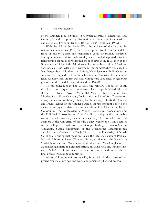of the Camden House Studies in German Literature, Linguistics, and Culture, brought to print my dissertation on Eisner's political aesthetic and agitational fiction under the title *The Art of Revolution* (1986).

With the fall of the Berlin Wall, the archives of the Institut für Marxismus-Leninismus (IML) were soon opened to all comers, and the trove of Eisner's papers and manuscripts could be scanned firsthand. During summers and two sabbatical years I traveled repeatedly to the transforming capital to sort through the files, first at the IML, then at the Bundesarchiv-Lichterfelde. Additional sallies to the Internationaal Instituut voor Sociale Geschiedenis in Amsterdam, the Bundesarchiv-Koblenz, the Nürnberger Stadtbibliothek, the Stiftung Neue Synagoge Berlin-Centrum Judaicum Archiv, and the Leo Baeck Institute in New York filled in critical gaps. At every turn the research and writing were supported by generous grants from the Citadel Foundation and the DAAD.

To my colleagues at The Citadel, the Military College of South Carolina, who critiqued work in progress, I am deeply indebted: Michael B. Barrett, Robert Brown, Mark Del Mastro, Cathy Jellenik, Jack Rhodes, Katya Skow-Obenaus, David Smith, and Ann Voit. The extraordinary dedication of Betsey Carter, Debbe Causey, Elizabeth Connor, and David Heisser of the Citadel's Daniel Library brought light to the dark time and again. I thank here too members of the Charleston History Colloquium, the South Atlantic Modern Languages Association, and the Philological Association of the Carolinas who provided invaluable commentary to many a presentation, especially Otto Johnston and Hal Rennert of the University of Florida, Nancy Nenno and Tom Baginski of the College of Charleston, and George Harding of Francis Marion University. Sabina Grossmann of the Nürnberger Stadtbibliothek and Elizabeth Chenault of Davis Library at the University of North Carolina are due special mention, as are the reference staffs of Perkins-Bostock Library at Duke, Widener Library at Harvard, the Bayerische Staatsbibliothek, and Münchener Stadtbibliothek. Max Gnigler of the Bundesrealgymnasium Reithmannstraße in Innsbruck and Finnish historian Veli-Matti Rautio made me aware of sources without which the final product would be diminished.

Above all I am grateful to my wife, Susan, who in the course of this project saw me at my best and worst and remained pillar and beacon.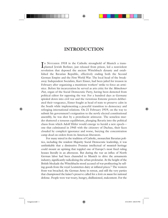## **INTRODUCTION**

IN NOVEMBER 1918 in the Catholic stronghold of Munich a trans-<br>planted Jewish Berliner, just released from prison, led a nonviolent planted Jewish Berliner, just released from prison, led a nonviolent revolution that deposed the ancient Wittelsbach dynasty and established the Bavarian Republic, effectively ending both the Second German Empire and the First World War. The local head of the breakaway Independent Socialists, Kurt Eisner, had been jailed for treason in February after organizing a munitions workers' strike to force an armistice. Before his incarceration he served as arts critic for the *Münchener Post*, organ of the Social Democratic Party, having been demoted from political editor for opposing the war. For a hundred days as Germany spiraled down into civil war and the victorious Entente powers deliberated their vengeance, Eisner fought as head of state to preserve calm in the South while implementing a peaceful transition to democracy and reforging international relations. On 21 February 1919, on the way to submit his government's resignation to the newly elected constitutional assembly, he was shot by a protofascist aristocrat. The senseless murder shattered a tenuous equilibrium, plunging Bavaria into the political chaos from which Adolf Hitler would emerge to herald a new epoch one that culminated in 1945 with the citizenry of Dachau, their faces clouded by complicit ignorance and worse, burying the concentration camp dead on orders from its American liberators.

For many mired in the tradition of Catholic, monarchist Bavarian politics, including the resident Majority Social Democratic leadership, it was unthinkable that a diminutive Prussian intellectual of *mosaisch* heritage could mount an uprising that toppled one of Europe's most fixed ruling houses literally in an afternoon. But during the war an influx of North German labor had been channeled to Munich to drive the armaments industry, significantly radicalizing the urban proletariat. At the height of the British blockade the Wittelsbachs stood accused of war-profiteering by selling goods from the royal Leutstetten dairy at inflated prices.<sup>1</sup> The western front was breached, the German Army in retreat, and still the very parties that championed the kaiser's preserve called for a *levée en masse* for national defense. People were war-weary, hungry, disillusioned, malcontent. For the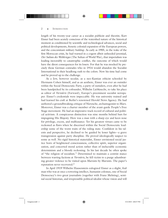length of his twenty-year career as a socialist publicist and theorist, Kurt Eisner had been acutely conscious of the watershed nature of the historical moment as conditioned by scientific and technological advances, social and political developments, frenetic colonial expansion of the European powers, and the concomitant military buildup. As early as 1905, in the wake of the first Moroccan crisis, he had warned in a cogent albeit unheeded jeremiad, *Der Sultan des Weltkrieges* (The Sultan of World War), that imperialism was leading inexorably to catastrophic conflict, the outcome of which would have the direst consequences for its losers. For that he was mocked by precisely those German comrades who in 1914 would abandon the Socialist International in their headlong rush to the colors. Now his time had come and he proved up to the challenge.

As a Jew, however secular, as a neo-Kantian ethicist schooled by Hermann Cohen himself, and as an aesthete, Eisner was ever an outsider within the Social Democratic Party, a party of outsiders, even after he had been handpicked by its cofounder, Wilhelm Liebknecht, to take his place as editor of *Vorwärts* (Forward), Europe's preeminent socialist newspaper. Eisner's credentials were impeccable. He was university trained and had learned his craft at Berlin's renowned Herold News Agency. He had authored a groundbreaking critique of Nietzsche, archantagonist to Marx. Moreover, Eisner was a charter member of the avant-garde People's Free Stage movement. He had an impressive track record of cultural and political activism. A conspicuous distinction was nine months behind bars for impugning His Majesty. Here was a man with a sharp eye and keen nose for privilege, excess, and malfeasance. Yet his greatest virtues came to be reckoned as flaws when he discerned within the Social Democratic leadership some of the worst traits of the ruling state. Confident in his talents and perspective, he declined to be guided by lesser lights—a grave transgression against party discipline. He proved ideologically suspect to some as well. No rigid historical materialist, Eisner envisioned social justice born of heightened consciousness, collective spirit, superior organization, and concerted moral action rather than of ineluctable economic determinism and a bloody reckoning. In his last decade he often spoke of "the religion of socialism." Determined to maintain a centrist stance between warring factions at *Vorwärts*, he fell victim to a purge adumbrating greater violence to be visited upon Marxists by Marxists. The paper's reputation never recovered.2

In April 1919 Wilhelm Hausenstein eulogized Eisner as a slight, frail man who was at once a towering intellect, humanist colossus, one of Social Democracy's two great journalists (together with Franz Mehring), seminal social historian, and irrepressible political idealist whose vision and will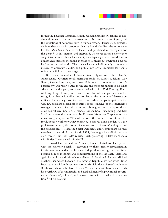forged the Bavarian Republic. Readily recognizing Eisner's failings as lyricist and dramatist, his quixotic attraction to Napoleon as a cult figure, and the limitations of boundless faith in human reason, Hausenstein, himself a distinguished art critic, proposed that his friend's brilliant theater reviews for the *Münchener Post* be collected and published as exemplary for the genre.3 In his lifetime and afterward, whenever Eisner's adversaries sought to besmirch his achievement, they typically characterized him as a misplaced literatus meddling in politics, a highbrow operating beyond his ken in the real world. That their villain was indisputably a singularly incisive commentator, critic, and public intellectual ironically lent some twisted credibility to the charge.

But other comrades of diverse stamp—Ignaz Auer, Jean Jaurès, Julius Kaliski, Georges Weill, Hermann Wallfisch, Albert Südekum, Lily Braun, Gustav Landauer, and Ernst Toller—put a premium on Eisner's perspicacity and resolve. And in the end the most prominent of his chief adversaries in the party were reconciled with him: Karl Kautsky, Franz Mehring, Hugo Haase, and Clara Zetkin. In both camps there was the recognition that he identified and combatted the germ of self-destruction in Social Democracy's rise to power. Even when the party split over the war, few socialists regardless of stripe could conceive of the internecine struggle to come. Once the tottering Ebert government employed the army against rival Spartacists, whose leaders Rosa Luxemburg and Karl Liebknecht were then murdered by *Freikorps* (Volunteer Corps) units, terminal malignancy set in. "The rift between the Social Democrats and the revolutionary workers was never healed," observes Louis Snyder. "To the proletarian radicals, the Social Democrats were 'Cossacks' and agents of the bourgeoisie. . . . Had the Social Democrats and Communists worked together in the critical days of early 1933, they might have eliminated the Nazi threat. But both sides refused, each preferring to take its chances with Hitler. It was a fatal mistake."4

To avoid like fratricide in Munich, Eisner elected to share power with the Majority Socialists, according to them greater representation in his government than to his own Independents and giving the freest possible rein to meetings and demonstrations of the Far Left. Again and again he publicly and privately repudiated all bloodshed. And yet Michael Doeberl's jaundiced history of the Bavarian Republic, written while Hitler began to consolidate his power base in Munich, skews Eisner's regime as Bolshevist, whereas the East German Marxist-Leninist Hans Beyer brands his overthrow of the monarchy and establishment of a provisional government of workers', soldiers', and peasants' councils as a half-baked revolution.5 Where lies truth?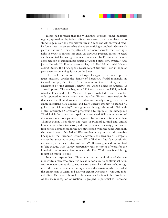Eisner had foreseen that the Wilhelmine Prussian-Junker militarist regime, spurred on by industrialists, businessmen, and speculators who stood to gain from the colonial venture in China and Africa, would readily foment war to secure what the kaiser enticingly dubbed "Germany's place in the sun." Bismarck, after all, had never shrunk from starting a fight in order to further his ends. As Bavarian premier, Eisner rejected another central German government dominated by Prussia in favor of a confederation of autonomous equals, a "United States of Germany." And just as Ludwig II, fifty-two years earlier, had allied Munich with Vienna against Berlin, the Francophile Eisner sought ties with Paris in hope of permanently containing Sparta on the Spree.

This book then represents a biography against the backdrop of a great historical divide: the demise of hereditary feudal monarchy in Central Europe, the birth of the communist Soviet Union, and the emergence of "the classless society," the United States of America, as a world power. The war begun in 1914 was renewed in 1939, as both Marshal Foch and John Maynard Keynes predicted—from diametrically opposed rationales—just months after Eisner's assassination. In that sense the ill-fated Weimar Republic was merely a long ceasefire, as ample historians have alleged, and Kurt Eisner's attempt to launch "a golden age of humanity" but a glimmer through the murk. Although Hitler interrupted Germany's progression to republic, the cataclysmic Third Reich functioned to dispel the entrenched Wilhelmine notion of democracy as a fool's paradise—espoused by no less a cultural icon than Thomas Mann. Thus thirty-one years of political turmoil and untold human misery drew to a close, and shortly thereafter a forty-year incubation period commenced in the two states risen from the ruins. Although Germany is now a full-fledged Western democracy and an indispensable linchpin of the European Union, elsewhere the tensions of a bygone era seethe unabated a century on. With Vladimir Putin's expansionist incursions, with the architects of the 1995 Bosnian genocide yet on trial in The Hague, with Turkey perpetually rent by choice of word for the liquidation of its Armenian populace, the First World War is still being fought on multiple fronts.

In many respects Kurt Eisner was the personification of German modernity, a man who preferred scientific socialism to confessional faith, cosmopolitan community to nationalism; a consilient thinker who recognized the nascent twentieth century as a new dispensation, who marshaled the empiricism of Marx and Darwin against Nietzsche's romantic individualism. He showed himself to be a staunch feminist in his first book. At the shaky inception of aviation he grasped its potential to transcend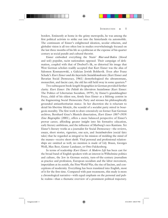borders. Eminently at home in the grimy metropolis, he was among the first political activists to strike out into the hinterlands via automobile. The continuum of Eisner's enlightened ideation, secular ethicism, and globalist vision is all too often lost in studies overwhelmingly focused on the last three months of his life as a politician at the expense of his quarter century as social pundit and cultural theorist.

Eisner embodied everything the Nazis' *Blut-und-Boden* (blood and soil) populist, racist nationalism opposed. Their campaign of defamation, coupled with that of Doeberl's ilk, so distorted his image that West German scholars readily accepted that Kurt Eisner was the alias of Salomon Kosmanowski, a Galician Jewish Bolshevik. Even after Franz Schade's *Kurt Eisner und die bayerische Sozialdemokratie* (Kurt Eisner and Bavarian Social Democracy, 1961) demythologized the ultramontane, monarchist, and fascist cant, the old lies still held sway in some quarters.<sup>6</sup>

Two subsequent book-length biographies in German provided further clarity. *Kurt Eisner: Die Politik des libertären Sozialismus* (Kurt Eisner: The Politics of Libertarian Socialism, 1979), by Eisner's granddaughter Freya, child of his eldest son, firmly fixes Eisner as a lifelong centrist in the fragmenting Social Democratic Party and stresses his philosophically grounded antiauthoritarian stance. In her discretion she is reluctant to detail his libertine lifestyle, the scandal of a socialist party mired in bourgeois morality. The first work to draw extensively on former East German archives, Bernhard Grau's Munich dissertation, *Kurt Eisner 1867–1919: Eine Biographie* (2001), offers a more balanced perspective of Eisner's prewar career, affording greater insight into his formative education, early literary ambitions, and the influence of Marburg's neo-Kantians. Yet Eisner's literary works as a journalist for Social Democracy—the reviews, essays, short stories, vignettes, one-acts, and *Sozialmärchen* (social fairy tales) that he regarded as integral to his mission of molding the mind of the masses—receive short shrift. Vital personal and professional relationships are omitted as well; no mention is made of Lily Braun, Georges Weill, Max Beer, Gustav Landauer, or Otto Falckenberg.

In terms of readership *Kurt Eisner: A Modern Life* has been cast for the broad band of English speakers with an interest in Wilhelmine politics and culture, the Jew in German society, turn-of-the-century journalism as practice and profession, European socialism and the labor movement, imperialism at its zenith, the First World War, the rise of fascism, and conceptions of modernity. Everything has been translated into English, most of it for the first time. Compared with past treatments, this study is more a chronological narrative—with equal emphasis on the personal and public realms—than a thematic overview of a prominent political trajectory.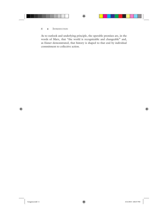#### $6 \rightarrow \text{INTRODUCTION}$

As to outlook and underlying principle, the operable premises are, in the words of Marx, that "the world is recognizable and changeable" and, as Eisner demonstrated, that history is shaped to that end by individual commitment to collective action.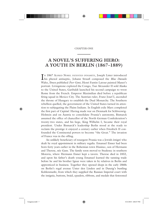#### CHAPTER ONE

## **A NOVEL'S SUFFERING HERO: A YOUTH IN BERLIN (1867–1889)**

IN 1867 ALFRED NOBEL PATENTED DYNAMITE, Joseph Lister introduced<br>his phenol antiseptic, Johann Strauß composed the *Blue Danube* his phenol antiseptic, Johann Strauß composed the *Blue Danube* Waltz, Ibsen published *Peer Gynt*, Henri Fantin-Latour painted Manet's portrait. Livingstone explored the Congo, Tsar Alexander II sold Alaska to the United States, Garibaldi launched his second campaign to wrest Rome from the French. Emperor Maximilian died before a republican firing squad in Mexico City. The Austrian ruler, Franz Josef I, ascended the throne of Hungary to establish the Dual Monarchy. The Southern rebellion quelled, the government of the United States turned its attention to subjugating the Plains Indians. In English exile Marx completed the first part of *Capital*. Having made war on Denmark for Schlweswig-Holstein and on Austria to consolidate Prussia's autonomy, Bismarck assumed the office of chancellor of the North German Confederation's twenty-two states, and his liege, King Wilhelm I, became their royal president. Under Bismarck's leadership Berlin stood at the ready to reclaim the prestige it enjoyed a century earlier when Friedrich II confounded the Continental powers to become "the Great." The invasion of France was in the offing.

An unlikely beneficiary of resurgent Prussia was a Jewish émigré who dealt by royal appointment in military regalia. Emanuel Eisner had been born forty years earlier in the Bohemian town Husinec, son of Hermann and Therese, née Gans. The family soon moved to Studenec in southern Moravia, where Hermann Eisner kept a tavern. Therese died in 1832, and upon his father's death young Emanuel learned the tanning trade before he and his brother Ignaz were taken in by relatives in Berlin and apprenticed in business. Together they opened shops in the early 1860s on Berlin's regal avenue Unter den Linden and in Danzig's bustling Kohlenmarkt, from which they supplied the Russian Imperial court with the insignia, buttons, braid, epaulets, ribbons, and medals that festooned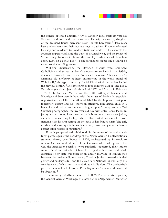the officers' splendid uniforms.<sup>1</sup> On 5 October 1863 thirty-six-year-old Emanuel, widowed with two sons, wed Hedwig Levenstein, daughter of the deceased Jewish merchant Levin Jontoff Levenstein.2 Two years later the brothers went their separate ways in business. Emanuel relocated his shop and residence to Friedrichstraße and added to his clientele the Prussian emperor and king, the duke of Braunschweig, and the prince of Schwarzburg-Rudolstadt. He was thus employed when his wife bore him a son, Kurt, on 14 May 1867—a son destined to topple one of Europe's most prominent ruling houses.

Wilhelm Hausenstein, the Bavarian Marxist who embraced Catholicism and served as Bonn's ambassador to Paris in the 1950s, described Emanuel Eisner as a "respected merchant," his wife as "a charming old *Berlinerin* at heart disinterested in the world capital of Wilhelm II," the type painted by Daniel Chodowiecki in the last half of the previous century.3 She gave birth to four children: Paul in June 1864, Kurt three years later, Jenny-Paula in April 1870, and Martha in February 1872. Only Kurt and Martha saw their fifth birthdays.<sup>4</sup> Emanuel and Hedwig's children were imbued with the values of Berlin's bourgeoisie. A portrait made of Kurt on 20 April 1870 by the Imperial court photographers Pflaum and Co. shows an attentive, long-haired child in a lace collar and dark woolen suit with bright piping.<sup>5</sup> Two years later Carl Günther photographed the five-year-old boy with sister Jenny-Paula. In jaunty leather boots, knee-breeches with bows, matching velvet jacket, and a bow tie cinching his high white collar, Kurt strikes a cavalier pose, standing with his arm resting on the back of her fringed chair. The girl, in white and showing a fashionable coiffure, looks primly into the lens, a perfect salon hostess in miniature.<sup>6</sup>

Eisner's pampered early childhood "in the center of the asphalt culture" played against the backdrop of the North German Confederation's stunning victory over France in 1870, orchestrated by Bismarck to achieve German unification.7 Those Germans who had opposed the war, the Eisenacher Socialists, were ruthlessly suppressed, their leaders August Bebel and Wilhelm Liebknecht charged with treason and jailed. Bismarck's new state was born of an uneasy marriage of convenience between the unabashedly reactionary Prussian Junker caste—the landed gentry and military elite—and the laissez-faire National Liberal Party, the constituency of which was the ambitious middle class. The proletariat's place in the new Reich, historian Peter Gay notes, "was to work hard and be obedient."8

The economy fueled by war sputtered in 1873. The two workers' parties, the General German Workingmen's Association (Allgemeiner Deutscher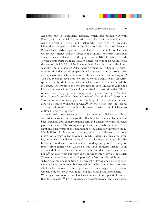Arbeiterverein) of Ferdinand Lassalle, which had backed war with France, and the Social Democratic Labor Party (Sozialdemokratische Arbeiterpartei) of Bebel and Liebknecht, first vied to organize labor, then merged in 1875 as the Socialist Labor Party of Germany (Sozialistische Arbeiterpartei Deutschlands). In the wake of German victory over France and the subsequent economic downturn, Emanuel Eisner's business declined to the point that in 1877 he affiliated with Jewish commercial magnate Eduard Sachs, for whom he would work the rest of his life.<sup>9</sup> In 1874 Emanuel had placed his son in the lower school of Berlin's nascent Askanisches Gymnasium to begin the classical education that would prepare him for university and a professional career, a goal to which but few sons of his class and creed could aspire.<sup>10</sup> The boy seems to have been well suited to his parents' plans. In retrospect he readily admitted to believing what he read in "the wretched liberal press." Referring to the two attempts in 1878 on Kaiser Wilhelm's life by gunmen whom Bismarck demonized as revolutionaries, Eisner recalled how the progressive bourgeoisie regarded the Left: "At that time I myself considered them a horde of wild criminals." Despite an "instinctive aversion to all patriotic humbug," he lit candles in the window to celebrate Wilhelm's survival.<sup>11</sup> By the fiction that the second assailant had Socialist accomplices, Bismarck convinced the Reichstag to outlaw the party altogether.

A formal, three-quarter portrait shot in August 1883 when Eisner was sixteen shows an earnest youth with a high forehead and hair combed back, thin lips, a full chin, protruding ears, and a melancholy gaze directed past the camera.12 The young man performed creditably at school. After eight and a half years at the gymnasium he qualified for university on 13 March 1886. His final report records good marks in German and choral music; satisfactory in Latin, Greek, French, English, mathematics, physics, and athletics; and mostly satisfactory in history and geography. His behavior was deemed commendable, his diligence good.13 The prior report, from Easter to St. Michael's Day 1885, indicates that his Latin essays and Greek recitations showed promise and that he was an attentive pupil.14 An essay from February 1884 on the theme "How a Noble Man Thinks and Acts (according to Sophocles's *Aias*)" affords insight into the sixteen-year-old's sensibilities: "The precept of loving one's neighbor certainly achieved its most noble expression in Christianity. But who actually lives by this rule? In this regard we are just as pagan as the ancient Greeks, only we speak our mind with less candor and spontaneity. . . . With regard to honor we are less ideally minded in our practical century than the ancients."15 Felix Fechenbach, Eisner's personal secretary during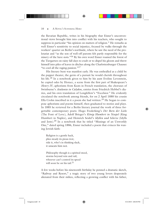the Bavarian Republic, writes in his biography that Eisner's unconventional views brought him into conflict with his teachers, who sought to suppress in particular "his opinion on matters of religion." He remarks as well Eisner's sensitivity to social injustice, focused by walks through the workers' quarter on Berlin's northside, where he saw the need of the proletariat and "as the son of well-off parents felt partly responsible for the misery of the have-nots."<sup>16</sup> By his own word Eisner roamed the forest of the Tiergarten on rainy fall days to exult or to dispel his gloom and threw himself into piles of leaves in ditches along the Charlottenburger Chausee "to cool all the raging passion."<sup>17</sup>

His literary bent was manifest early. He was enthralled as a child by the puppet theater, the germ of a pursuit he would cherish throughout his life.<sup>18</sup> In a notebook given to him by his aunt Eveline Levenstein, he copied odes by Horace, a scene from the first part of Shakespeare's *Henry IV*, aphorisms from Keats in French translation, the choruses of Swinburne's *Atalanta in Calydon*, entries from Friedrich Hebbel's diaries, and his own translation of Longfellow's "Excelsior." He evidently circulated the notebook among friends, for on 2 April 1880 his cousin Ella Crohn inscribed in it a poem she had written.<sup>19</sup> He began to compose aphorisms and poems himself, then graduated to stories and plays. In 1885 he reviewed for a Berlin literary journal the work of three forgettable contemporary poets: Hugo Frederking's *Der Born der Liebe* (The Font of Love), Adolf Brieger's *König Humbert in Neapel* (King Humbert in Naples), and Heinrich Seidel's *Idyllen und Scherze* (Idylls and Jests).20 In a notebook that he titled "Musings of an Unworldy One," dated spring 1886, Eisner included a poem that evinces his waning Jewish faith:

Religion is a gentle hack, plies steady its pious trot; ride it, who's in thinking slack, it unseats him not.

Philosophy though is a spirited steed, storms beyond rein and rail; whoever can't control its speed will soon be on his tail.<sup>21</sup>

A few weeks before his nineteenth birthday he penned a dramatic sketch, "Railway and Resort," a tragic story of two young lovers desperately alienated from their milieu, reflecting a growing conflict with his father,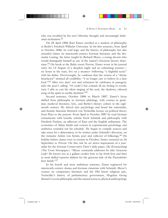who was troubled by his son's libertine thought and increasingly bohemian inclination.22

On 28 April 1886 Kurt Eisner enrolled as a student of philosophy at Berlin's Friedrich Wilhelm University. In his first semester, from April to October 1886, he read logic and the history of philosophy but also attended classes on nineteenth-century German literature and the dramatist Lessing, the latter taught by Richard Meyer, a young docent who would distinguish himself as one of the nation's foremost literary historians.23 On break at the Baltic resort Prerow, Eisner wrote in his journal entry for 13 August of a sleepless night and an exhausting journey six hours in the train, five on a steamer—following "a frightful scene" with his father. Overwrought, he confesses that the notion of a "divine benefactor" strained all credibility: "I no longer care to believe in a dear God."24 After two days' rest and relaxation he celebrates in panegyric style the poet's calling. "O could I but commit all my feeling to words, were I able to cast the silent singing of the soul, the shadowy, ethereal song of the spirit in earthly rhythms!"<sup>25</sup>

Second semester, October 1886 to March 1887, Eisner's focus shifted from philosophy to German philology, with courses in grammar, medieval literature, lyric, and Berlin's literary culture in the eighteenth century. He delved into psychology and heard the nationalist, anti-Semitic historian Heinrich von Treitschke lecture on political theory from Plato to the present. From April to October 1887 he read German romanticism with Goethe scholar Erich Schmidt and philosophy with Friedrich Paulsen, an adherent of Kant and the English utilitarians. The economics of Adam Smith and courses in experimental psychology and aesthetics rounded out his schedule. He began to compile sources and take notes for a dissertation, to be written under Schmidt's direction, on the romantic Achim von Arnim, poet and collector of folksongs.<sup>26</sup> On holiday before classes were to resume in October, Eisner returned on 16 September to Prerow. On this visit he set down impressions of a journalist for the German Conservative Party's daily paper, *Die Kreuzzeitung* (The Cross Newspaper): "Meyer constantly addresses by title: Gracious Lady! He knows too as a gallant cavalier how to lay forth lives and fates in most skilled reporter fashion for the gracious lady of the Patzenhofer beer family."<sup>27</sup>

In his fourth and most ambitious semester, Eisner registered for nineteenth-century drama and German classicism with Schmidt, Meyer's courses on comparative literature and the Old Saxon religious epic, Treitschke's history of parliamentary government, Hegelian Georg Simmel's recent philosophy and the natural sciences, physical anthropology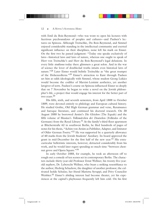with Emil du Bois-Reymond—who was wont to open his lectures with facetious psychoanalyses of peoples and cultures—and Paulsen's lectures on Spinoza. Although Treitschke, Du Bois-Reymond, and Simmel enjoyed considerable standing in the intellectual community and exerted significant influence on their disciplines, none left his mark on Eisner. On the first two he passed judgment: "Today one speaks exclusively of laws—historical laws and laws of nature, whereas one ought to speak of Herr von Treitschke's and Herr du Bois-Reymond's legal delusions. In every little *studiosus* today there glimmers a great solon. And in the war of science the lover of doubleclad truths intuits even historical laws of nature."28 Later Eisner would belittle Treitschke as "the great trumpet of the Hohenzollerns."29 Eisner's attraction to Kant through Paulsen set him at odds ideologically with Simmel, whose student Georg Lukács would become the codifier of Marxist-Leninist aesthetics, yet another lawgiver of sorts. Paulsen's course on Spinoza influenced Eisner so deeply that on 7 November he began to write a novel on the Jewish philosopher's life, a project that would engage his interest for the better part of two years.30

His fifth, sixth, and seventh semesters, from April 1888 to October 1889, were devoted entirely to philology and European cultural history. He studied Gothic, Old High German grammar and verse, Renaissance and baroque literature, and continued his doctoral research. On 30 August 1888 he borrowed Arnim's *Die Gleichen* (The Equals) and the fifth volume of Musäus's *Volksmärchen der Deutschen* (Folktales of the Germans) from the Royal Library.31 At the family's third-floor apartment at Blücherstraße 62 in southwest Berlin, he filed hundreds of pages of notes for his thesis, "Achim von Arnim as Publisher, Adapter, and Imitator of Older German Poetry."32 He was supported by a quarterly allowance of 40 marks from the Jewish Students' Auxiliary. Its board approved the grant in mid-December for the first half of the new year.33 His extracurricular belletristic interests, however, detracted considerably from his work, and he would later regret spending so much time "between chestnut grove and Opera Square."<sup>34</sup>

In early October 1888, for example, he took an afternoon off to rough out a comedy of ten scenes set in contemporary Berlin. The characters include thirty-year-old Professor Ernst Wellner; his twenty-five-yearold nephew, Dr. Leberecht Wellner, who bears a striking resemblance to the author; Hedwig Schackow, the daughter of another professor; the cultivated Isolde Schulze; her friend Marietta Syruppi; and Privy Councilor Weisbier.35 Eisner's abiding interest had become theater, yet his experiences at the capital's playhouses frequently left him cold. On his first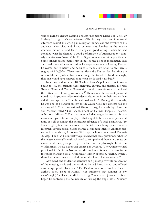visit to Berlin's elegant Lessing Theater, just before Easter 1889, he saw Ludwig Anzengruber's *Meineidbauer* (The Perjury Tiller) and fulminated afterward against the lavish gimmickry of the sets and the frivolity of the audience, who joked and flirted between acts, laughed at the intense dramatic moments, and failed to applaud good acting. Earlier he had attended what he deemed a good performance of Anzengruber's comedy *Die Kreuzelschreiber* (The Cross Signers) in an almost empty theater. Some officers seated beside him dismissed the piece as inordinately dull and rued a wasted evening. After his experience at the Lessing Theater he vowed not to return and declined a friend's invitation to see there a staging of *L'Affaire Clémenceau* by Alexandre Dumas *fils*, featuring the actress Lili Petri, whose hair was so long, the friend declared enticingly, that one would have stepped on it when she loosed it for bed.36

In spring and summer 1889 when Eisner's political consciousness began to jell, the catalysts were literature, culture, and theater. He read Ibsen's *Ghosts* and Zola's *Germinal*, naturalist manifestos that depicted the rotten core of bourgeois society.37 He scanned the socialist press and noted that its papers and journals demanded more from their readers than did the average paper "for the cultured circles." Mulling this anomaly, he was one of a handful present in the Music College's concert hall the evening of 1 May, International Workers' Day, for a talk by Hermann von Maltzan titled "The Establishment of German People's Theaters: A National Mission." The speaker urged that stages be erected for the masses and patriotic works played that might bolster national pride and unity as well as combat the pernicious influence of Social Democracy. To Eisner's glee, Maltzan envisioned a clientele resembling spectators at a racetrack: diverse social classes sharing a common interest. Another aristocrat in attendance, Ernst von Wolzogen, whose comic novel *Die tolle Komteß* (The Mad Countess) was published that year, questioned whether the masses were sufficiently schooled to comprehend drama. A discussion ensued and then, prompted by remarks from the playwright Ernst von Wildenbruch, whose nationalist drama *Die Quitzows* (The Quitzows) had premiered in Berlin in November, the audience founded an association to realize Maltzan's ideal. "And thus," Eisner observed, "Berlin, which I think has twice as many associations as inhabitants, has yet another."

Afterward, the student of literature and philosophy wrote an account of the meeting, critiqued the positions he had heard stated, and offered a counterproposal. His article, "The Establishment of a People's Theater: Berlin's Social Debt of Honor," was published that summer in *Die*  Gesellschaft (The Society), Michael Georg Conrad's arts journal.<sup>38</sup> Eisner began by contesting the desirability of turning the stage into a "nursery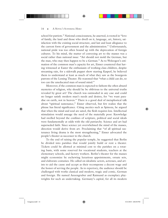school for patriots." National consciousness, he asserted, is rooted in "love of family, the land and those who dwell on it, language, art, history, satisfaction with the existing social structure, and last and least allegiance to the current form of government and the administration." Unfortunately, national pride was too often bound up with the deprecation of foreign cultures. To his mind, the matter of conveying art to the masses was a social rather than national issue: "Art should not mold the German, but the man, who may then happen to be a German." As to Wolzogen's estimation of the common man's capacity for art, Eisner countered that having witnessed at Easter the enthusiasm of working-class children, despite streaming rain, for a sidewalk puppet show starring Kasperl, he believed them to understand at least as much of what they saw as the bourgeois patrons of the Lessing Theater. He reasoned that "what a child can do, so too can the uneducated man of sound mind."

Moreover, if the common man is expected to fathom the often absurd mysteries of religion, why should he be oblivious to the universal truths revealed by great art? The church was outmoded in any case and could no longer satisfy modern man's needs and desires, for "we want paradise on earth, not in heaven." There is a good deal of metaphorical talk about "spiritual sustenance," Eisner observed, but few realize that the phrase has literal significance. Citing ascetics such as Spinoza, he argued that when the mind and soul are sated, the flesh requires less. Intellectual stimulation would assuage the need of the materially poor. Knowledge had swelled beyond the confines of scripture, political and social ideals were fundamentally at odds with the old patriarchy. Science and art had superseded faith. Since science yet overwhelmed the mind of the masses, direction would derive from art. Proclaiming that "of all spiritual sustenance living drama is the most strengthening," Eisner advocated the people's theater as successor to the church.

To the end of raising the popular temple, he suggested that Berlin be divided into parishes that would jointly build or rent a theater. Tickets could be allotted at minimal cost to the parishes on a rotating basis, with some reserved for vocational students, teachers at the elementary schools, and factory workers. Berlin's theater for the masses might economize by eschewing luxurious appointments, ornate sets, and elaborate costumes. He called on idealistic actors, actresses, and artists to aid the cause and accept as their recompense a decent wage and the honor of serving the people. As to repertory, the audience should be challenged with works classical and modern, tragic and comic, German and foreign. He named Anzengruber and Raimund as exemplary playwrights for such an undertaking. Germany's capital, for all its modern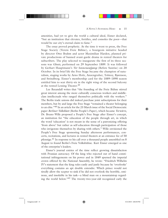amenities, had yet to give the world a cultural ideal, Eisner declared, "but an institution that elevates, fortifies, and consoles the poor—that would be our city's eternal claim to fame."

The essay proved prophetic. At the time it went to press, the Free Stage Society (Verein Freie Bühne), a bourgeois initiative headed by director Otto Brahm and actor Maximilian Harden, planned private productions of banned avant-garde drama in rented theaters for subscribers. The play selected to inaugurate the first of its three seasons was *Ghosts*, performed on 29 September 1889. It was followed by Gerhart Hauptmann's *Vor Sonnenaufgang* (Before Sunrise) on 20 October. In its brief life the Free Stage became the champion of naturalism, staging works by Arno Holz, Anzengruber, Tolstoy, Bjørnson, and Strindberg. Eisner's membership card for the 1889–1890 season entitled him to seat thirty-six in the right wing of the second balcony at the rented Lessing Theater.<sup>39</sup>

Lee Baxandall writes that "the founding of the Freie Bühne stirred great interest among the more culturally conscious workers and middleclass intellectuals who ranged themselves politically with the workers." The Berlin trade unions did indeed purchase joint subscriptions for their members, but by and large the Free Stage "remained a theater belonging to an elite."40 In an article for the 23 March issue of the Social Democratic paper *Berliner Volksblatt* (Berlin People's Paper), which became *Vorwärts*, Dr. Bruno Wille proposed a People's Free Stage after Eisner's concept, an institution for "the education of the people through art, in which the word 'education' is not meant in the sense of a patronizing offering 'from above' but rather as self-education through participation of those who invigorate themselves by sharing with others." Wille envisioned the People's Free Stage sponsoring Sunday afternoon performances, concerts, recitations, and lectures in rented theaters at an entrance fee of 50 pfennige.41 In response to his call over a thousand people assembled on 8 August to found Berlin's Freie Volksbühne. Kurt Eisner emerged as one of the enterprise's leaders.

Eisner's journal entries of the time reflect growing dissatisfaction with Prussian autocracy. Of the king who rejected out of hand constitutional infringements on his power and in 1849 spurned the imperial crown offered by the National Assembly, he wrote: "Friedrich Wilhelm IV's statement that the king rules easily and justly because he 'overlooks' everything contains an apt double entendre. Which prince would not tiredly allow the scepter to sink if he did not overlook the horrible, ominous, and insoluble in his task—a blind man on a mountaintop regarding the world below."42 The twenty-two-year-old recognized early the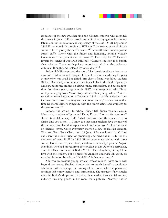arrogance of the new Prussian king and German emperor who ascended the throne in June 1888 and would soon pit Germany against Britain in a fateful contest for colonies and supremacy of the seas. On 21 September 1889 Eisner noted: "According to Wilhelm II the sole purpose of history seems to be to glorify the current ruler."<sup>43</sup> A month later Eisner equated Paris's Eiffel Tower with the future and humanity, Berlin's Victory Column with the present and barbarism.44 The entry for 29 October reveals the extent of utilitarian influence: "Culture's mission is to banish chance by law. The word 'happiness' must be struck from the dictionary of human thought and replaced by 'one's due.'"<sup>45</sup>

In later life Eisner proved the sort of charismatic intellect who attracts a coterie of admirers and disciples. His circle of intimates during his years at university was small but gifted. His closest friend was fellow student Richard Baerwald, who became a leading scholar in the field of parapsychology, authoring studies on clairvoyance, spiritualism, and autosuggestion. For eleven years, beginning in 1887, he corresponded with Eisner on topics ranging from Mozart to politics to "fine young ladies."46 A letter written from England on 4 December 1889, in which he derides "our German brute-force economy with its police system," attests that at that time he shared Eisner's sympathy with the fourth estate and antipathy to the government.<sup>47</sup>

Among the women to whom Eisner felt drawn was his cousin Margarete, daughter of Ignaz and Fanny Eisner. "I repeat for you now," she wrote on 13 January 1888, "what I told you recently: you are free, no chains bind you to me. . . . I know too that some brighter day a memory of the moments we shared in happiness will steal upon you." They remained on friendly terms. Grete eventually married a Jew of Russian descent. Their son Ernst Boris Chain, born 19 June 1906, would teach at Oxford and share the Nobel Prize for physiology and medicine in 1945 for the discovery of penicillin.<sup>48</sup> In 1889 Eisner became acquainted with three sisters, Doris, Lisbeth, and Toni, children of landscape painter August Hendrich, who had moved from Freienwalde an der Oder to Eberswalde, a scenic village northeast of Berlin.49 The eldest daughter, Doris, fell in love with the student, but he preferred Auguste Ludowika Elisabeth, six months his junior, blonde, and "childlike" in her emotions.<sup>50</sup>

She was an anxious young woman whose refined tastes were well beyond her means. She had already tried to attach herself to an elderly scholar in order to escape the poverty of her home, where importunate creditors left empty-handed and threatening. She unsuccessfully sought work in Berlin's shops and factories, then settled into menial cottage industry, finishing goods in her room for a pittance. "Never," Eisner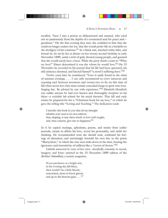recalled, "have I met a person so disheartened and stunted, who cried out so passionately from the depths of a tormented soul for peace and goodness." On the first evening they met, she confided to him that she could no longer endure her lot, that she would prefer life in a bordello to the drudgery of her existence.<sup>51</sup> In a black suit, starched white shirt, and formal tie, he sat by her at dinner on her twenty-second birthday in early November 1889, amid a swirl of gaily dressed young people, and guessed that she would surely have a beau. While the party drank a toast to "What we love!" Eisner determined it was she whom he would love.52 On 13 November he recorded in his journal that his life had been uprooted, his old existence doomed, and fancied himself "a novel's suffering hero."<sup>53</sup>

Twelve years later he reminisced: "Love is easily found in the mists of autumn evenings. . . . I can only recommend to every innocent and yearning soul between seventeen and twenty-two to fix on this time of fall when secret love that must remain concealed longs to grow into ironforging fate. Be advised by one with experience."54 Elisabeth Hendrich was unlike anyone he had ever known and thoroughly receptive to his ideas—a veritable lab school for his social theories. That fall and early winter he prepared for her a "Christmas book for my love," to which he gave the telling title "Loving and Teaching." The dedication reads:

I inscribe this book to you that all my thought inhabits your soul as its own address, that, shaping, it may there dwell, in love well caught, and, thus content, give rise to happiness.<sup>55</sup>

In it he copied musings, aphorisms, poems, and stories from earlier journals, meant to affirm his love, reveal his personality, and mold her thinking. He recommended texts she should read, confessed his feelings of alienation, and unwittingly foretold his own fate in the poem "Martyrdom," in which the wise man sinks down in the dust, bearing the ignorance and insensitivity of millions like a "crown of thorns."<sup>56</sup>

Lisbeth answered in verse of her own—decidedly romantic in mood, imagery, and form—printed in the 15 December 1889 edition of the *Berliner Salonblatt*, a society magazine:

If you perchance as a bright star, in the evening sky did blaze, then would I be a little bloom, untouched, alone in forest gloom and up to the heavens gaze. . . . <sup>57</sup>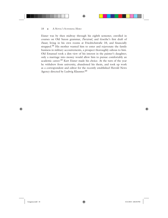Eisner was by then midway through his eighth semester, enrolled in courses on Old Saxon grammar, *Parzival*, and Goethe's first draft of *Faust*, living in his own rooms at Friedrichstraße 10, and financially strapped.58 His mother wanted him to enter and rejuvenate the family business in military accoutrements, a prospect thoroughly odious to him. Old Emanuel took a dim view of his interest in the painter's daughter; only a marriage into money would allow him to pursue comfortably an academic career.59 Kurt Eisner made his choice. At the turn of the year he withdrew from university, abandoned his thesis, and took up work as a correspondent and editor for the recently established Herold News Agency directed by Ludwig Klausner.<sup>60</sup>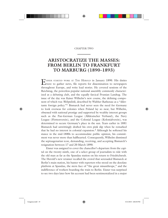#### CHAPTER TWO

## **ARISTOCRATIZE THE MASSES: FROM BERLIN TO FRANKFURT TO MARBURG (1890–1893)**

EISNER STARTED WORK AT THE HEROLD in January 1890. His duties were to gather news, file reports for dissemination to newspapers throughout Europe, and write lead stories. He covered sessions of the Reichstag, the powerless popular national assembly commonly characterized as a debating club, and the equally farcical Prussian Landtag. The issue of the day was Kaiser Wilhelm's new course, the defining component of which was *Weltpolitik*, described by Walther Rathenau as a "dilettante foreign policy."1 Bismarck had never seen the need for Germany to look overseas for colonies when Poland lay so near, but Wilhelm, obsessed with national prestige and supported by wealthy interest groups such as the Pan-German League (Alldeutscher Verband), the Navy League (Flottenverein), and the Colonial League (Kolonialverein), was determined to secure Germany's place in the sun. Years earlier in 1881 Bismarck had unwittingly drafted his own pink slip when he remarked that he had no interest in colonial expansion.2 Although he softened his stance in the mid-1880s to accommodate public opinion, his commitment was never more than halfhearted. Consequently, Wilhelm dismissed the septuagenarian icon, demanding, receiving, and accepting Bismarck's resignation between 17 and 20 March 1890.

Eisner was assigned to cover the chancellor's departure from the capital on the twenty-ninth, one of a select group of journalists to ride with the old man as far as the Spandau station on his return to Friedrichsruh. The Herold's new retainer recalled the crowd that serenaded Bismarck at Berlin's main station, his banter with reporters who stood on the desolate platform at Spandau, the stern face of "the great misanthrope," and the indifference of workers boarding the train to Berlin. Eisner was surprised to see two days later how his account had been sentimentalized in a major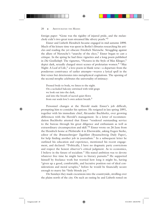foreign paper: "Gone was the rigidity of injured pride, and the melancholy exile's two great tears streamed like silvery pearls."<sup>3</sup>

Eisner and Lisbeth Hendrich became engaged in mid-autumn 1890. Much of his leisure time was spent in Berlin's libraries researching his articles and reading the yet obscure Friedrich Nietzsche. Struggling against the allure of Nietzsche's "anarchy of the elect," Eisner began to cast a critique. In the spring he had three vignettes and a long poem published in *Die Gesellschaft*. The vignettes, "Pictures in the Style of Max Klinger," depict dark, sexually charged street scenes of proletarian women.<sup>4</sup> "May Night: A Leaf of Life," a love poem in blank verse—a departure from the ponderous contrivance of earlier attempts—weaves a lyrical spell in the first verses but deteriorates into metaphysical cogitations. The opening of the second strophe celebrates the universality of intimacy:

Pressed body to body, we listen to the night. On a secluded balcony entwined with wild grape we look out into the dark, and into the breath of sacred quiet flows from our souls love's own ardent breath.5

Personnel changes at the Herold made Eisner's job difficult, prompting him to consider his options. He resigned in late spring 1891, together with his immediate chief, Alexander Buchholtz, over growing differences with the Herold's management. In a letter of recommendation Buchholtz attested that Eisner "rendered outstanding service to the bureau through his great diligence and enthusiasm as well as extraordinary circumspection and skill."6 Eisner wrote on 26 June from the Hendrich home at Pfeilstraße 4 in Eberswalde, asking Eugen Sierke, editor of the *Braunschweiger Tageblatt* (Braunschweig Daily Paper), for help finding another job in journalism.7 In a subsequent letter he outlined his education and experience, mentioned his recent engagement, and declared: "Politically, I have no dogmatic party convictions and respect the honest observer's critical judgment. As to economics, I believe in the future of socialism." His stated ambition was to devote whatever free time he might have to literary pursuits.<sup>8</sup> He supported himself by freelance work but worried how long it might be, having "given up a good, comfortable, and lucrative position out of ideal considerations and moral scruples," before he would be financially secure enough to marry his "little blonde joy."

On Sundays they made excursions into the countryside, strolling over the plains north of the city. On such an outing he and Lisbeth rested on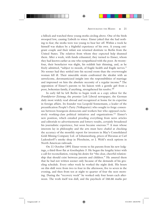a hillock and watched three young storks circling above. One of the birds swooped low, causing Lisbeth to wince. Eisner joked that she had nothing to fear; the storks were too young to bear her off. Within a week he himself was shaken by a frightful experience of his own. A young emigrant couple and their infant son returned destitute to Berlin from the United States. The relatives from whom they expected help shunned them. After a week, with funds exhausted, they turned to Eisner, whom they had known earlier as one who sympathized with the poor. At twentyfour, their benefactor was slight, his reddish hair thinning, and, as he freely admitted, "subject to moods, of fragile health and fragile nerves." No sooner had they settled into his second room than the overwrought woman fell ill. Their miserable straits confronted the idealist with an unwelcome, deromanticized insight into the responsibilities of marriage and impressed on him the absolute necessity of a regular income.<sup>9</sup> The opposition of Eisner's parents to his liaison with a gentile girl from a poor, bohemian family, if anything, strengthened his resolve.<sup>10</sup>

In early fall he left Berlin to begin work as a copy editor for the *Frankfurter Zeitung*, the premier Left Liberal newspaper, the German daily most widely read abroad and recognized at home for its expertise in foreign affairs. Its founder was Leopold Sonnemann, a leader of the preunification People's Party (Volkspartei) who sought to forge consensus between bourgeois democrats and workers but who opposed exclusively working-class political initiatives and organizations.<sup>11</sup> Eisner's new position, which entailed proofing everything from news articles and editorials to advertisements and lottery results, certainly broadened his journalistic experience, but soon became onerous.<sup>12</sup> A man whose interests lay in philosophy and the arts must have chafed at checking the accuracy of the monthly report for investors in May's Consolidated Gold Mining Company Ltd. of Johannesburg, prices of Havanas at Carl Ladendorff's smoke shop in Pforzheim, or J. Wehl's stock options in North American railroads.

On 11 October 1891 Eisner wrote to his parents from his new lodgings, a third-floor flat at Goetheplatz 3. He began the lengthy letter with a call for reconciliation, voicing his desire for "the clear, cheerful relationship that should exist between parents and children." He assured them that he had not written sooner only because of the demands of his grueling schedule. Every other week he worked the night desk. His hours on this shift were from two to four in the afternoon, five to seven in the evening, and then from ten at night to quarter of four the next morning. During the "recovery week" he worked only four hours each afternoon. The work itself was dull, and the paycheck of 166.66 marks per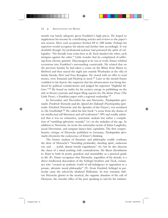month was barely adequate given Frankfurt's high prices. He hoped to supplement his income by contributing articles and reviews to the paper's arts section. Here each acceptance fetched 50 to 100 marks. Perhaps his superiors would recognize his talents and further him accordingly. It was doubtful though, for professional jealousy had poisoned the spirit of collegiality: "No friendly tone exists here at all. Each slanders the other, each intrigues against the other." Little wonder that he complained of suffering from chronic gastritis. Discouraged as he was at work, Eisner relished excursions into Frankfurt's surrounding countryside. He related that on the previous Sunday he had taken a cruise on the Rhine from Mainz to Biebrich and then stayed the night just outside Wiesbaden at the villa of family friends, Herr and Frau Reinglass. He closed with an offer to send money, were Emanuel and Hedwig in need.13 Later in the month Eisner confided to his fiancée the suspicion that his advancement was being hindered by political considerations and judged his superiors "frightful fellows."<sup>14</sup> He found an outlet for his creative energy in publishing on the side in literary journals and began filing reports for *Die kleine Presse* (The Little Press), a Frankfurt paper with a regional readership.<sup>15</sup>

In November and December his anti-Nietzsche, *Psychopathia spiritualis: Friedrich Nietzsche und die Apostel der Zukunft* (Psychopathia spiritualis: Friedrich Nietzsche and the Apostles of the Future), was serialized in *Die Gesellschaft*. 16 He called his first book "a scene from the drama of my intellectual self-liberation and self-realization" (99) and readily admitted that it was no exhaustive, systematic analysis but rather a compilation of "rambling aphoristic remarks" (iv) on the maladies of the age. In addition to Nietzsche, he treats the nationalist racism of Julius Langbehn, social Darwinism, and rampant laissez-faire capitalism. The first comprehensive critique of Nietzsche published in Germany, *Psychopathia spiritualis* chronicles the coalescence of Eisner's thinking.

The former student of literature and philosophy readily confesses the draw of Nietzsche's "brooding profundity, dazzling spirit, audacious wit, and . . . joyful, almost boyish roguishness" (6), but he also discerns the chaos of a mind seething with contradictions. He likens *Zarathustra* to *Faust* in both its poetic grandeur and unsuitablity as a practical guide to life (8). Eisner recognizes that Nietzsche, regardless of his denials, is a direct intellectual descendent of the Schlegel brothers and Tieck, romantics who "created an aesthetic world of self-indulgence in opposition to a prosaic, altruistic moral philosophy" (9). From Friedrich Schlegel in particular came the selectively idealized Hellenism. In true romantic fashion Nietzsche glories in the mystical, the orgiastic abandon of the cult of Dionysus, the oracular office of the poet speaking to and for the initiates.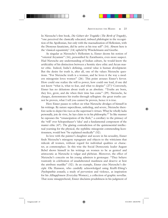In Nietzsche's first book, *Die Geburt der Tragödie* (*The Birth of Tragedy*), "one perceived the classically educated, imbued philologist in the recognition of the Apollonian, but only with the maenadization of Hellenism, with the Dionysus fanaticism, did he arrive at his true self" (14). Absent here is the 'classical equanimity' (14) upheld by Winckelmann and Goethe.

As singular as Nietzsche's Hellenism is, Eisner deems his notion of "oriental Aryanism" (14), personified by Zarathustra, even more suspect. Had Nietzsche any understanding of Indian culture, he would know the artificiality of his distinction between a Semitic slave ethic and Aryan master ethic. Indeed, India's defining, central value is human *development*. But the desire for truth is, after all, one of the values Nietzsche questions. "For Nietzsche truth is a woman, and he loves it the way a modern misogynist loves women" (26). This point arouses Eisner's fervor. How could one realize the will to power, how could one lead, if one did not know "what is, what to fear, and what to despise" (27)? Conversely, Eisner has no delusions about truth as an absolute. "Truths are born, they live, grow, and die when their time has come" (29). Nietzsche, he charges, demonstrates his truths through syllogism: the great truths cannot be proven, what I tell you cannot be proven, hence it is true.

Here Eisner pauses to reflect on what Nietzsche divulges of himself in his writings. By nature supercilious, unfeeling, and severe, Nietzsche therefore seeks to depict his vices as the superman's virtues. What he wholly lacks personally, joie de vivre, he lays claim to in his philosophy.17 In like manner he espouses the "emancipation of the flesh," a corollary to the primacy of the 'will' over Schopenhauer's 'idea' and a fundamental component of the master ethic (47). The glaring contradiction of the quintessential intellectual yearning for the physical, the syphilitic misogynist commending licentiousness, would best "be explained medically" (52).

In love with the painter's daughter and secure in his sexuality, Eisner finds Nietzsche's misogyny repugnant and objects to the witticisms that ridicule all women, without regard for individual qualities or character, as commonplace. In this wise the Social Democratic leader August Bebel shows himself in his writings on women to be as genteel and aristocratic as Nietzsche is vulgar and plebeian. Moreover, the effect of Nietzsche's conceits on his young admirers is grotesque: "They behave wantonly in celebration of unadulterated manliness and deserve at best the attribute manlike" (52). As an example, Eisner cites Nietzsche's disciple Ola Hansson, who candidly acknowledged using Krafft-Ebing's *Psychopathia sexualis*, a study of perversion and violence, as inspiration for his *Alltagsfrauen* (Everyday Women), a collection of graphic novellas. That none misapprehend, Eisner disclaims prudishness in his judgment of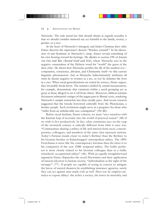Nietzsche. The only moral law that should obtain as regards sexuality is that we should consider immoral any act harmful to the family, society, a gender, or a race.

At the heart of Nietzsche's misogyny and Judeo-Christian slave ethic Eisner discerns the superman's dictum "Harden yourself." In his discussion of anti-Semitism in Nietzsche's camp, Eisner reveals something of his own bearing toward his heritage. He alludes to section 195 of *Jenseits von Gut und Böse* (*Beyond Good and Evil*), where Nietzsche sees in the negative connotation of the Hebrew word for "world" the germ of the slave ethic. He shows how Nietzsche ascribes the ills of the modern era compassion, conscience, altruism, and Christianity itself—to this curious linguistic phenomenon. Just as Nietzsche indiscriminately attributes all traits he deems negative to women as a sex, so too he defames the Jews as a race. When racial generalizations are tested by science, Eisner argues, they invariably break down. The statistics yielded by cranial measurement, for example, demonstrate that variations within a racial grouping are as great as those alleged to set it off from others. Moreover, biblical scholars document substantial vestiges of the pagan past in Mosaic texts, rendering Nietzsche's sample somewhat less than racially pure. And recent research suggested that the Greeks borrowed culturally from the Phoenicians, a Semitic people. Such revelations might serve as a purgative for those who "suffer from an unbelievable race constipation" (39–40).

Before racial fatalism, Eisner exhorts, we must "save ourselves with the Kantian leap of necessity into the world of practical reason" (40) if we wish to live productively. In fact, what constitutes race on the cusp of the twentieth century is radically different from what it once was. "Communities sharing a milieu of life and interest form races; contemporaries, colleagues, and members of the same class represent nations. Today's Parisian stands closer to today's Berliner than the Berliner to his German brother in Kuhschnappel: metropolitan milieu. The 1891 Frenchman is more like the contemporary German than the latter is to his compatriot of the year 1500: temporal milieu. The Gallic professor is more closely related to his German colleague than to a Gallic swineherd: occupational milieu" (44). With an equally straightforward argument Eisner dispatches the social Darwinists and their application of natural selection to human society, "individualism as the right of the stronger" (77). If people are capable of acting in concert to mitigate the havoc of natural disasters by establishing insurance agencies, surely they can act against man-made evils as well. Here too he employs statistics to expose fallacy: the richer a society, the lower its mortality and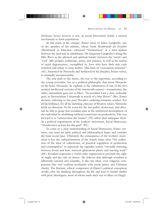birthrate; hence poverty is not, as social Darwinism holds, a natural mechanism to limit population.

At this point in his critique, Eisner turns to Julius Langbehn, one of the apostles of his subtitle, whose book *Rembrandt als Erzieher* (Rembrandt as Educator) advanced "Germanness" as a *unio mystica* between the land and its inhabitants. He lampoons Langbehn's fixing the Elbe River as the physical and spiritual border between the 'warm' and 'cool' (40) peoples, politicians, poets, and painters, as well as his notion of racial degeneration, exemplified by Jews who have their side curls trimmed and refuse to keep kosher. This kind of "conceptual nonsense" (41), fomented by Nietzsche and furthered by his disciples, Eisner writes, is criminally unconscionable.

The true path to the future, the way to the superman, according to the young journalist, lies in a political philosophy that turns Nietzsche on his head. Nietzsche, he explains, is the culmination of one of the two seminal intellectual currents of the nineteenth century—romanticism; the other, rationalism, gave rise to Marx. "In socialism I see a clear, realizable goal; in Nietzscheism I sleepwalk in search of a blue flower" (86), Eisner declares, referring to the poet Novalis's enduring romantic symbol. For all his brilliance, for all his damning criticism of Western values, Nietzsche lends no direction. In his scorn for the hoi polloi, democracy, and altruism he fails to grasp that socialism aims at the unfettered development of the individual by abolishing artificial restrictions on productivity. The way forward is to "aristocratize the masses" (79) rather than subjugate them. As a political organization of the workers' movement, Social Democracy "should strive at least for this goal" (81).

To come to a clear understanding of Social Democracy, Eisner ventures, one must set aside political and philosophical biases and consider the basic social issue. Ultimately the consequence of the workers' movement is less the enfranchisement of the fourth estate than "the realization of the ideal of collectivism, of practical regulation of production and consumption" to supersede the capitalist system "eternally tottering between boom and bust, between gluttonous plenty and starving want" (84). Socialism represents a world order engineered to preclude the right of might and the rule of chance. He believes that although socialism is inherently rational and scientific, it also has ideal, even religious components that wed exultant secularism with social justice and Christian charity. The Kantian, ethical component of Eisner's political conception would color his thinking throughout his life and lead to fateful clashes with party ideologues, most of whom made their way to Marx via Hegel.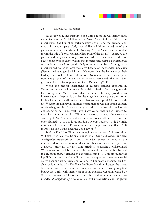As greatly as Eisner supported socialism's ideal, he was hardly blind to the faults of the Social Democratic Party. The radicalism of the Berlin membership, the bumbling parliamentary faction, and the personal animosity in debate—particularly that of Franz Mehring, coeditor of the party journal *Die Neue Zeit* (The New Age), who "acted as if he wanted to win the title of North German Champion of the Insult"—damaged the party's credibility even among those sympathetic to its cause. In the last pages of his critique Eisner warns that romanticism exerts a powerful pull on ambitious, rebellious youth. Only recently a number of young party members had bolted to form their own League of Independent Socialists (Verein unabhängiger Sozialisten). He notes that the language of their leader, Bruno Wille, rife with allusions to Nietzsche, betrays their inspiration. The prophet of "an anarchy of the elect" remained "the most dangerous and seductive opponent of Social Democracy" (88).

When the second installment of Eisner's critique appeared in December, he was making ready for a visit to Berlin. On the eighteenth his adoring sister Martha wrote that the family, obviously proud of his literary success despite his political leanings, had taken great pleasure in his last letter, "especially at the news that you will spend Christmas with us."<sup>18</sup> After the holiday his mother fretted that he was not saving enough of his salary, and his father fervently hoped that he would complete his degree. At dinner three weeks after New Year's, they urged Lisbeth to work her influence on him. "Wouldn't it work, darling," she wrote the same night, "can't you submit a dissertation to a small university, as you once planned? . . . Do it, love, but don't overtax yourself—little by little, in time it will be done." Emanuel sweetened the pot with an offer of 500 marks if his son would heed the good advice.19

Back in Frankfurt Eisner was enjoying the success of his avocation. Wilhelm Friedrich, the Leipzig publisher of *Die Gesellschaft*, reprinted *Psychopathia spiritualis* as a book. An advertisement inserted in the journal's March issue announced its availability in octavo at a price of 2 marks. "Here for the first time Friedrich Nietzsche's philosophical Weltanschauung, which today stirs the entire cultured world, is subjected to a rigorous but just critique by a congenial mind. . . . This profound text highlights current social conditions, the race question, prevalent social Darwinism and its perverse application."<sup>20</sup> The work generated predictably partisan reviews. In *Die Neue Zeit* Franz Mehring disputed the threat Nietzsche posed to socialism, as his appeal was limited mainly to gifted bourgeois youths with literary aspirations. Mehring was unimpressed by Eisner's command of historical materialism and economics yet recommended *Psychopathia spiritualis* as a useful introduction and insightful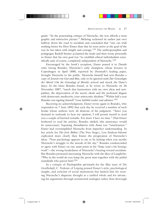guide: "In the penetrating critique of Nietzsche, the text affords a most graphic and instructive picture." Mehring reckoned its author just over halfway down the road to socialism and concluded that "one can wish nothing better for Herr Eisner than that he soon arrive at the goal of the way he has taken with insight and courage."<sup>21</sup> The anthroposophist and pedagogue Rudolf Steiner acclaimed the study and then wrote personally to Eisner that his own goal was "to establish ethical individualism scientifically and, of course, completely independent of Nietzsche."<sup>22</sup>

Encouraged by the book's reception, Eisner posted it to Danish critic Georg Brandes, Nietzsche's early champion, whose lectures in Copenhagen in April 1888, reported by Denmark's leading paper, brought Nietzsche to the public. Nietzsche himself had sent Brandes a copy of *Jenseits von Gut und Böse*, only to be ignored until *Zur Genealogie der Moral* (*On the Genealogy of Morals*) arrived and struck the Dane's fancy. In the latter Brandes found, as he wrote to Nietzsche on 26 November 1887, "much that harmonizes with my own ideas and sympathies, the depreciation of the ascetic ideals and the profound disgust with democratic mediocrity, your aristocratic idealism." Within half a year Brandes was signing himself "your faithful reader and admirer."<sup>23</sup>

Receiving no acknowledgment, Eisner wrote again to Brandes, who responded on 7 June 1892 that each day he received a number of such books whose authors were all desirous of his judgment. "Since you demand so zealously to hear my opinion, I will permit myself to send you a couple of hurried remarks. For more I have no time." Had Eisner bothered to read his articles, Brandes chided, this annoyance would be unnecessary. Equating *Zarathustra* with *Faust* was "tastelessness." Eisner had oversimplified Nietzsche from imperfect understanding. In her article for *Die freie Bühne* (The Free Stage), Lou Andreas-Salomé explicated more clearly than Eisner the progression of Nietzsche's ideas. "Your psychology appears to me to be lacking when you ascribe Nietzsche's struggle to the moods of the day." Brandes condescended to agree with Eisner on one main point in his "limp (and a bit boring) work"—the wrong-headedness of Nietzsche's bearing toward socialism. But Brandes protested associating Nietzsche with the likes of Langbehn: "Why in the world do you lump the great man together with the pitiful numskulls who parrot him?"<sup>24</sup>

In a critique of *Psychopathia spiritualis* for the May issue of *Die Gesellschaft*, C. Vedente of Leipzig praised Eisner's style, psychological insight, and criticism of social institutions but faulted him for treating Nietzsche's disparate thought as a unified whole and for advancing his arguments through sentimental analogies rather than thorough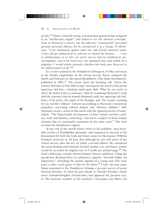proofs.25 Eisner, evidently stung, remonstrated against being maligned as an "intellectual cripple" who failed to see the obvious contradictions in Nietzsche's oeuvre, but the adjective "sentimental" provoked genuine personal offense, for he interpreted it as a charge of effeminacy: "I am obdurately against what one calls female character traits. I have always endeavored to cultivate in myself the human. . . . I am so misfortunate as to have no secret nerves and no antithetical sexual impulses, and if my head were not assaulted once and awhile by a migraine, I would doubt seriously whether this body part deserves to be called modern at all."<sup>26</sup>

In a review printed in the *Frankfurter Zeitung* on 18 May and rerun in the Sunday supplement on the twenty-second, Eisner critiqued the fourth and final part of *Also sprach Zarathustra* (*Thus Spake Zarathustra*), published in 1891.27 The review bears the haunting title "From the Literary Remains of One Still Living" and imparts the moral of the proud superman laid low, a dazzling mind gone dark. What he can teach us above all, Eisner writes, is tolerance. Only by examining Nietzsche's work with the tolerance that he himself disdained could one appreciate the brilliance of his prose, the depth of his thought, and "the ecstatic yearning for joy and life's fullness" without succumbing to Nietzsche's monstrous prejudices, enervating cultural despair, and "absolute nihilism." Still, Nietzsche struck a chord of discontent with the spiritual poverty of materialism. "The hypertrophic development of three human activities—politics, trade and industry, technology—has led to a neglect of those human activities that we customarily summarize by the name 'soul.'" The want accounts for Zarathustra's appeal.

At the end of the month Eisner wrote to his publisher, cited favorable reviews of *Psychopathia spiritualis*, and requested an increase in his honorarium for both the book and future essays for the journal. Wilhelm Friedrich answered on 10 June that although he was well aware of the critical success, sales did not yet justify a second edition. He considered the terms binding until demand merited another run, and future articles would be accorded the highest rate of 3 marks per printed page.<sup>28</sup> The book's following certainly whetted Eisner's literary ambitions. Using the pseudonym Reinhard Fern, he authored a vignette, "Feverish Night: An Impression," describing the mental anguish of a young man who must pawn a silver watch given to him by his father.29 Under his own name Eisner presented in the *Frankfurter Zeitung* a two-part survey of recent German literature, in which he pays tribute to Theodor Fontane, whose novel *Unwiederbringlich* (Irretrievable) had appeared the previous year, as "the honorary member of the moderns," and passes over Maria von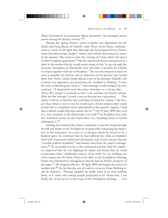Ebner-Eschenbach to pronounce Maria Janitschek "the strongest poetic power among the literary women."<sup>30</sup>

During the spring Eisner's circle in Berlin was diminished by the death, after long illness, of Lisbeth's sister Doris. Grete Eisner commiserated in a letter of 29 April that although she had prepared for it, Doris's death had affected her deeply.<sup>31</sup> Eisner and Lisbeth determined to marry in the summer. She wrote to him the evening of 3 June about the decor of their Frankfurt apartment.32 On the nineteenth Eisner announced in a letter to his mother that he would return home in July "to go through the necessary formalities in Eberswalde that will make it possible for Lisbeth to return together with me to Frankfurt." He was determined to marry as soon as possible, he advised, and no objection on his parents' part would deter him. Doris's death clearly played a role in his decision. Lisbeth's life at home was oppressive and pernicious, he confided to Hedwig. "I have the duty of liberating her from it." And marriage would stabilize his own existence: "I desperately need the peace attendant to a chosen fate. . . . Above all I require a comrade so that I can continue my literary activity. With my first attempt I scored a success beyond any expectation. . . . This winter I will try to find the time and frame of mind for a drama." He foresaw that within a year or two he would seek a better position that would permit him to contribute more substantially to his parents' support. Until then Lisbeth would help him endure his lot.<sup>33</sup> On 19 July 1892 they wed in a civil ceremony at the Eberswalde town hall.<sup>34</sup> In Frankfurt they took two furnished rooms on the fourth floor of a boarding house at Große Gallusgasse 5.35

Settling into married life, Eisner continued to earn his bread through the fall and winter at the *Frankfurter Zeitung* while enhancing his reputation in the serial press. In a note to a colleague whom he sensed to be a kindred spirit, he confessed that he had suffered the while in Frankfurt from lack of personal intellectual stimulation and voiced concern that his "socialist political sensibility" had isolated him from the paper's management.36 So successful was he at his extramural pursuits that his employers suspected that he was slighting his duties and feared that he could compromise their confidential sources. Even while he was drafting one of his reports for *Die kleine Presse* in his office at the *Frankfurter Zeitung*, Eisner was informed by management that he had no further prospects at the paper.37 He resigned effective 10 April 1893 and began the search for another job.38 On his first day out of work he wrote to Franz Mehring to ask his assistance. "Having sampled the noble mind in its most sublime form, as it exists only among people purported to be Democrats, I am finally free of my service to the house of the *Frankfurter Zeitung*. . . . Can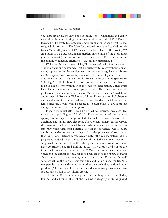you, dear Sir, advise me how one can indulge one's willingness and ability to work without subjecting oneself to derision and ridicule?"39 On the twenty-first he wrote to a potential employer at another paper that he had resigned his position in Frankfurt for personal reasons and spelled out his terms, "a monthly salary of 175 marks (besides a share of the profits)."<sup>40</sup> In a letter of 12 May, Maximilian Harden, now editor of the prestigious journal *Zukunft* (The Future), offered to meet with Eisner in Berlin on the coming Wednesday afternoon.<sup>41</sup> But no job materialized.

While searching for a new niche, Eisner made do with freelance work. Under a pseudonym, assumed that he might write freely without jeopardizing opportunities for employment, he became a regular contributor to *Das Magazin für Litteratur*, a venerable Berlin weekly edited by Fritz Mauthner and Otto Neumann-Hofer. He chose the pen name Sperans, or "Hoping," in all likelihood in affirmation of the Kantian axiom that the logic of hope is synonymous with the logic of social action. Eisner must have felt at home in the journal's pages; other collaborators included his professors Erich Schmidt and Richard Meyer, student chum Alfred Kerr, and former foil Ernst von Wolzogen. Joining Eisner as a political observer and social critic for the journal was Gustav Landauer, a fellow Jewish, leftist intellectual who would become his closest political ally, speak his eulogy, and ultimately share his grave.

Eisner's inaugural effort, an article titled "Militarism," was accorded front-page top billing on 20  $May.<sup>42</sup>$  Here he examined the military appropriations impasse that prompted Chancellor Caprivi to dissolve the Reichstag and call for new elections. The German military, Eisner wrote, the ranks of which were filled by men whose former station in life was generally worse than their potential fate on the battlefield, was a feudal anachronism that served as bodyguard to the privileged classes rather than as national defense force. Accordingly, "the representatives of the propertied and educated classes, the Right and the National Liberals," supported the measure. That the other great European armies were similarly constituted augured nothing good: "The great world war of the future is in its cave crisping its claws." Only the Social Democrats had voted en bloc against the bill, for their party enjoyed the luxury of being able to wait; its day was coming rather than passing. Eisner put himself squarely behind the Social Democratic demand for a citizens' militia, "the free people in arms with no purpose other than defending national independence," for such a military would be a democratizing force in German society and a boon to its cultural ascent.

The niche Eisner sought opened in late May when Paul Bader, founder and editor in chief of the *General-Anzeiger für Marburg und*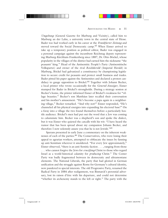*Umgebung* (General Gazette for Marburg and Vicinity), called him to Marburg an der Lahn, a university town in the central state of Hesse. Bader too had worked early in his career at the *Frankfurter Zeitung* and moved toward the Social Democratic camp.<sup>43</sup> When Eisner arrived to take up a temporary position as political editor, Bader was engaged in a personal campaign against the incumbent Reichstag deputy representing Marburg-Kirchhain-Frankenberg since 1887, Dr. Otto Böckel, whose popularity in the villages of the district had earned him the nickname "the peasants' king." Head of the Antisemitic People's Party (Antisemitische Volkspartei) and owner of the rival *Reichsherold* (Imperial Herald) in Marburg, Böckel had galvanized a constituency by championing legislation to secure credit for peasants and protect small business and trades. Bader pitted his paper against the Antisemites and declared a protest candidacy to gauge opposition to Böckel.<sup>44</sup> Together with Johann Becker, a local printer who wrote occasionally for the *General-Anzeiger*, Eisner stumped for Bader in Böckel's strongholds. During a strategy session at Becker's home, the printer informed Eisner of Böckel's weakness for "village beauties." Becker's son Matthäus later recalled their conversation and his mother's amusement. "He's become a papa again in a neighboring village," Becker remarked. "And why not?" Eisner responded, "He's channeled all his physical energies into expanding his electoral base!" On a foray into a village the two found themselves before a particularly hostile audience. Böckel's men had put out the word that a Jew was coming to calumniate him. Becker was a shepherd's son and spoke the dialect, but it was Eisner who quieted the catcalls with his wit: "I have heard the rumor that has been spread about my companion Johann Becker, and therefore I now solemnly assure you that he is not Jewish."<sup>45</sup>

Sperans presented in early June a commentary on the inherent weaknesses of each of the parties.46 The Conservatives, who were losing their appeal to agrarian workers, attempted to obfuscate the issues by fanning up anti-Semitism wherever it smoldered. "For every Jew approximately," Eisner observed, "there is an anti-Semitic faction . . . , ranging from those . . . who cannot forgive the Jews for *crucifying* Christ to those who regard Israel as a world-historical calamity for *producing* Christ." The Center Party was badly fragmented between its democratic and ultramontane elements. The National Liberals, the party that had gloried in German unification and the struggle against Rome for Germany's cultural identity, now pandered to special interests. The old Progressive Party, renamed the Radical Party in 1884 after realignment, was Bismarck's perennial adversary, lost its raison d'être with his departure, and could not determine "whether its archenemy stands to the left or right." The party with the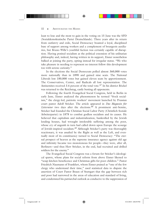least to lose and the most to gain in the voting on 15 June was the SPD (Sozialdemokratische Partei Deutschlands). Three years after its return from outlawry and exile, Social Democracy boasted a loyal, disciplined base of support among workers and a complement of bourgeois auxiliaries, but Bruno Wille's youthful faction was certainly capable of disruption. Having posited socialism as the political extension of his utilitarian philosophy and, indeed, having written in its support, Eisner nonetheless balked at joining the party, opting instead for irregular status. "We who take pleasure in needing to represent no interest follow this development too with serene curiosity."

In the elections the Social Democrats polled almost 360,000 votes more nationally than in 1890 and gained nine seats. The National Liberals lost 180,000 votes but gained eleven seats by apportionment. The Conservatives, Center, and Radicals all lost representation. The Antisemites received 3.4 percent of the total vote.<sup>47</sup> In his district Böckel was returned to the Reichstag, easily besting all opponents.

Following the fourth Evangelical Social Congress, held in Berlin in early June, Eisner analyzed the phenomenon he termed "frock socialism," the clergy-led, patriotic workers' movement launched by Prussian court pastor Adolf Stöcker. The article appeared in *Das Magazin für*  Litteratur two days after the elections.<sup>48</sup> A prominent anti-Semite, Stöcker had founded the Christian Social Labor Party (Christlich-Soziale Arbeiterpartei) in 1878 to combat godless socialism and its causes. He believed that capitalism and industrialization, bankrolled by the Jewish lending houses, had wrought intolerable suffering among the poor, whose cry of anguish in turn had called down upon Europe the scourge of Jewish-inspired socialism.49 Although Stöcker's party was thoroughly reactionary, it was assailed by the Right as well as the Left, and eventually most of its constituency turned to Social Democracy: "The eternal prospect of heaven as the supreme insurance agency against old age and infirmity became too monotonous for people—they were, after all, Berliners—and thus Herr Stöcker, in the end, had recruited and drilled soldiers for the enemy."

The Evangelical Social Congress was a forum for Stöcker's ideological spawn, whose plans for social reform from above Eisner likened to "soup-kitchen beneficence and Christmas gifts for poor children." Pastor Friedrich Naumann of Frankfurt, whom Eisner praised as "one of the few clergy who understand their time," used statistical data to dispute the assertion of Court Pastor Braun of Stuttgart that the gap between rich and poor had narrowed in the areas of education and standard of living, and condemned his patriarchal outlook as conducive to the suppression of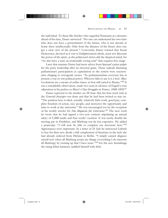the individual. To those like Stöcker who regarded Naumann as a dreamer ahead of his time, Eisner answered: "No one can understand his own time who does not have a presentiment of the future, who is not already at home there intellectually. Only from the distance of the future does one get a clear view of the present." Conversely, Eisner warned that Social Democracy, devoted as it was to Enlightenment ideals, must not discount the power of the spirit, as the politicized clerics did the skeptical mind, for "we also have a soul, an irrationally roving soul" that requires free range.

Later that summer Eisner had more advice from Sperans's print pulpit for the party leadership after its electoral gains. Those radicals shunning parliamentary participation as capitulation to the system were reactionaries clinging to retrograde tactics. "In parliamentarism everyone has at present a way to win political power. Whoever fails to use it is a fool. Alley revolutions are a means of earlier times, at best still suited to Russia."50 It was a remarkable observation, made two years in advance of Engels's own adjuration in his preface to Marx's *Class Struggles in France, 1848–1850*. 51

Eisner reported to his mother on 20 June that his four-week trial at the *General-Anzeiger* was done and that he had been invited to stay on. "The position here is ideal, actually: relatively little work, good pay, complete freedom of action, nice people, and moreover the opportunity and time to work at the university." He was encouraged too by the reception of his weekly articles for *Das Magazin für Litteratur*. 52 The next week he wrote that he had signed a two-year contract stipulating an annual salary of 3,300 marks and four weeks' vacation. It was nearly double his starting pay in Frankfurt, and Marburg was far less expensive. He added a postscript: "I will now be able to complete my doctorate here."<sup>53</sup> Appearances were important. In a letter of 25 July he instructed Lisbeth to buy for their new abode a full complement of furniture in the style she had already ordered from Dittmar in Berlin. "I simply cannot disgrace myself now when all Marburg awaits my things (everything I do interests all Marburg) by owning up that I have none."<sup>54</sup> For the new furnishings the rising leftist luminary saddled himself with debt.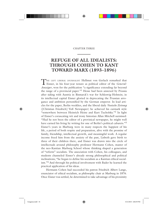#### CHAPTER THREE

### **REFUGE OF ALL IDEALISTS: THROUGH COHEN TO KANT TOWARD MARX (1893–1896)**

THE LEFT LIBERAL JOURNALIST Hellmut von Gerlach remarked that Eisner, in his four-year tenure as political editor of the *General-Anzeiger*, won for the publication "a significance extending far beyond the range of a provincial paper."1 Hesse had been annexed by Prussia after siding with Austria in Bismarck's war for Schleswig-Holstein; in its intellectual capital Eisner gloried in deprecating the Prussian arrogance and ambition personified by the German emperor. In lead articles for the paper, Berlin weeklies, and the liberal daily *Vossische Zeitung* ([Christian Friedrich] Voß Newspaper) he achieved his earmark style "somewhere between Heinrich Heine and Kurt Tucholsky."2 In light of Eisner's coruscating wit and irony historian Allan Mitchell surmised: "Had he not been the editor of a provinical newspaper, he might well have earned his living by writing for one of Berlin's political cabarets."<sup>3</sup> Eisner's years in Marburg were in many respects the happiest of his life, a period of both respite and preparation, alive with the promise of family, friendship, intellectual growth, and meaningful work. A regular income freed him from the anxiety of the past, Lisbeth gave birth to three of their children there, and Eisner was drawn into the circle of intellectuals around philosophy professor Hermann Cohen, master of the neo-Kantian Marburg School whose thinking shaped a generation of "reform" socialists. The association with Cohen, his colleagues, and students channeled Eisner's already strong philosophical and political inclinations; "he began to define his socialism as a Kantian ethical socialism."4 And through his political involvement with Bader he learned the practical application of his ideas.

Hermann Cohen had succeeded his patron Friedrich Albert Lange, enunciator of ethical socialism, as philosophy chair at Marburg in 1876. Once Eisner was settled, he determined to take advantage of his proximity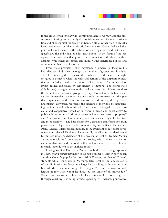to the great Jewish scholar who, continuing Lange's work, was in the process of explicating systematically that socialism has both its moral justification and philosophical fundament in Kantian ethics rather than in Hegel's ideal metaphysics or Marx's historical materialism. Cohen believed that philosophy, not science, is the vehicle for studying ethics, and that man specifically, the individual and his associations—is the focus of the discipline. The principles that govern the conduct of individuals in their dealings with others are ethics, and moral values determine politics and economics rather than vice versa.

From these premises Cohen developed a practical philosophy. He held that each individual belongs to a number of groups, or pluralities. The pluralities together compose the totality that is the state. The highest good is achieved when the wills and actions of the disparate pluralities are unified to further the interests of the whole. The individual or group guided exclusively by self-interest is immoral. The power state (Machtstaat) emerges when selfish will subverts the highest good to the benefit of a particular group or groups. Consistent with Kant's categorical imperative that one's actions should be governed by principles that might serve as the basis for a universal code of law, the legal state (Rechtstaat) conversely represents the interests of the whole by safeguarding the interests of each individual. Consequently, the legal state is democratic and cooperative, based on universal suffrage and equal access to public education; in it "private property is limited to personal property" and "the production of economic goods becomes a truly collective task and responsibility."5 The best chance for Germany's transformation from power state to legal state, Cohen reasoned, lay in the Social Democratic Party. Whereas Marx judged morality to be irrelevant to historical development and viewed Kantian ethics as socially conciliatory and detrimental to the revolutionary character of the proletariat, Cohen deemed Marx's "eruptive revolution" unnecessary in a society with rudimentary democratic mechanisms and immoral in that violence and terror were fundamentally inconducive to the highest good.<sup>6</sup>

Having studied Kant with Paulsen in Berlin and having espoused in *Psychopathia spiritualis* many of Cohen's precepts, Eisner now began auditing Cohen's popular lectures. Adolf Koester, another of Cohen's students while Eisner was in Marburg, later recalled the familiar scene of the diminutive professor in a large hat, strolling with cane in hand beneath the chestnuts along Gisselberger Chaussee, a train of collegians in tow with whom he discussed the unity of all knowledge.<sup>7</sup> Eisner came to know Cohen well. They often walked home together through Marburg's winding streets, speaking of Judaism, philosophy,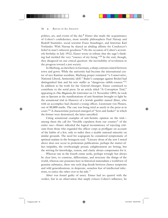politics, art, and events of the day.8 Eisner also made the acquaintance of Cohen's confederates, most notably philosophers Paul Natorp and Rudolf Stammler, social scientist Franz Staudinger, and historian Karl Vorländer. With Natorp he shared an abiding affinity for Condorcet's belief in man's inherent goodness.<sup>9</sup> On the occasion of Cohen's seventieth birthday in July 1912, Eisner wrote in tribute that the sage's thinking had molded the very "essence of my being."10 In the end, though, they disagreed on one critical question: the inevitability of revolution in the progress toward a just society.

In Marburg, as elsewhere in Germany, a sharp contrast existed between town and gown. While the university had become the international center of neo-Kantian socialism, Marburg proper remained "a Conservative, National Liberal, Antisemitic idyll." Bader's campaign against Böckel had distinguished him and his new staffer as "dangerous rabble-rousers."<sup>11</sup> In addition to his work for the *General-Anzeiger*, Eisner continued to contribute to the serial press. In an article titled "A Corruption Trial," appearing in *Das Magazin für Litteratur* on 11 November 1893, he took aim as Sperans at the manifestations of anti-Semitism brought to light by the sensational trial in Hanover of a Jewish gambler named Abter, who with an accomplice had cheated a young officer, Lieutenant von Plessen, out of 30,000 marks. The case was being tried as surely in the press as in court.12 A characteristic portrayal emerged of "Jews and Junker" in which the former were demonized, the latter sanctified.

Citing sensational examples of anti-Semitic opinion on the trial among them the call for "forcible expulsion from our country" of the entire race—Eisner ridiculed the logical inconsistency of rejecting criticism from those who regarded the officer corps as profligate on account of the habits of a few, only to indict then a sizable national minority on similar grounds. The need for scapegoats he considered symptomatic of spiritual malaise in the bourgeois soul. "Literary dross of the sort I noted above does not occur in proletarian publications: perhaps the matter-offact insipidity, the overbearingly prosaic enlightenment are boring, but the striving for knowledge, reason, and clarity always compensates for it. . . . Whereas one in the fourth estate seeks, perhaps wrongly but always by clear laws, to construe, differentiate, and structure the things of the world, whereas one possesses here in historical materialism a worldview of genuine substance, there one reels dog-drunk between chance symptoms and wild generalizations, in desperate, senseless fear of intellectual infections, to entice the other over to his side."

Abter was found guilty of usury. Eisner had no quarrel with the verdict, but in an observation that amply evinces Cohen's influence, he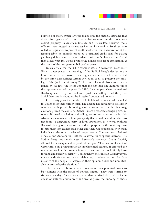pointed out that German law recognized only the financial damages that derive from games of chance, that violations were punished as crimes against property; in Austrian, English, and Italian law, however, these offenses were judged as crimes against public morality. To those who called for legislation to protect youthful officers from victimization at the gaming table, he impishly proposed a "national credit bank for paying gambling debts incurred in accordance with one's class and rank" and then asked what law would protect the honest poor from exploitation at the hands of the bourgeois nobility-of-property.

In an article for the 18 November issue, "Boycotted Elections," Eisner contemplated the meaning of the Radical Party's demise in the lower house of the Prussian Landtag, members of which were elected by the three-class suffrage system devised in 1851 to preserve the privilege of the Junker squirearchy.<sup>13</sup> The three electoral classes were determined by tax rate; the effect was that the rich had one hundred times the representation of the poor. In 1890, for example, when the national Reichstag, elected by universal and equal male suffrage, had thirty-five Social Democratic deputies, the Prussian Landtag had none.<sup>14</sup>

Over thirty years the number of Left Liberal deputies had dwindled to a fraction of their former total. The decline had nothing to do, Eisner observed, with people becoming more conservative, for the Reichstag elections proved the contrary. Rather it merely reflected changing circumstance. Bismarck's volatility and willingness to use repression against his adversaries necessitated a bourgeois party that would defend middle-class freedoms—a disgruntled party of loyal opposition, as it were. Without Bismarck bourgeois radicalism served no purpose; with no strong man to play them off against each other and then run roughshod over them individually, the other parties of property—the Conservatives, National Liberals, and Antisemites—sufficed as advocates of special interests. The Radical Party was simply passé. Bismarck's successor, Count Caprivi, allowed for a realignment of political energies. "The historical merit of Capriviism is its programmatically implemented tedium. It afforded the repose to dwell on the essential in modern culture: one could finally learn to think and perceive socially." Consequently, the Prussian Conservatives, uneasy with foreboding, were celebrating a hollow victory, for "the majority of the people . . . expressed their opinion clearly and unmistakably by *boycotting* the elections."

The masses had become too conscious of their potential power to be "content with the scraps of political rights." They were stirring to rise to a new day. The electoral system that deprived them of a voice in affairs of state was "immoral" and would prove the undoing of those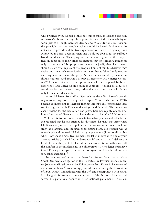who profited by it. Cohen's influence shines through Eisner's criticism of Prussia's ills and through his optimistic view of the ineluctability of social justice through increased democracy: "Constitutionalism rests on the principle that the people's voice should be heard. Parliaments do not exist to provide a definitive explanation of Kant's *Critique of Pure Reason* by majority decision; then one would be able to justify suffrage based on education. Their purpose is even less to grant to the propertied, in addition to their other advantages, that of legislative influence; only an age warped by proprietary mania can justify that. Parliaments should be a virtual replica of the people's frame of mind. Whatever they desire and crave, whatever foolish and wise, beautiful and ugly seethes and surges within them, the people's duly reconstituted representation should express. And reason will prevail, necessity will emerge victorious!" In a very few years the optimism would be tempered by bitter experience, and Eisner would realize that progress toward social justice could not be linear across time, rather that social justice would derive only from a new dispensation.

A cordial letter from Alfred Kerr evinces the effect Eisner's pseudonymous writings were having in the capital.15 Kerr, who in the 1920s became counterpoint to Herbert Ihering, Brecht's chief proponent, had studied together with Eisner under Meyer and Schmidt. Through trenchant reviews for the arts serials and press, Kerr was rapidly establishing himself as one of Germany's eminent theater critics. On 25 November 1893 he wrote to his former classmate to exchange news and ask a favor. He reported that he had attained his doctorate; he knew that Eisner had left Germanics, wondered if political economy was now Eisner's field of study at Marburg, and inquired as to future plans. His request was at once simple and unusual: "A lady in my acquaintance (I do not dissemble when I say she is a 'sensitive' woman) has fallen in love with one of your Sperans articles (which I find understandable) and asks that I deliver the head of the author, not like Herod in uncultivated times, rather with all the comfort of the modern age, in a photograph." Kerr's letter must have found Eisner preoccupied, for on the twenty-second Lisbeth had borne a son, called Reinhard.<sup>16</sup>

In the same week a remark addressed to August Bebel, leader of the Social Democratic delegation in the Reichstag, by Prussian finance minister Johannes Miquel drew a fanciful response from Eisner in his review of a nonexistent book.17 As a twenty-year-old student during the Revolution of 1848, Miquel sympathized with the Left and corresponded with Marx. He changed his colors to become a leader of the National Liberals and served the party as a deputy in three national parliaments—Prussian,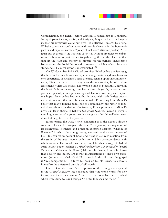Confederation, and Reich—before Wilhelm II named him to a ministry. In equal parts idealist, realist, and intriguer, Miquel achieved a longevity that his adversaries could but envy. He outlasted Bismarck by urging Wilhelm to eschew confrontation with hostile elements in the bourgeois parties and espouse instead a "policy of inclusion" (Sammelpolitik). "The great task at present," he wrote in 1890, "is, without prejudice or embarrassment because of past battles, to gather together all the elements that support the state and thereby to prepare for the perhaps unavoidable battle against the Social Democratic movement, which is often misunderstood and still almost always underestimated."<sup>18</sup>

On 27 November 1893 Miquel promised Bebel before the Reichstag that he would write a book someday containing a criticism, drawn from his own experience, of socialism's basic premise. Seizing upon this announcement, Eisner declared that having seen the manuscript, he offered an assessment. "Herr Dr. Miquel has written a kind of biographical novel in this book. It is an imposing pamphlet against his youth, indeed against youth in general, it is a polemic against fantastic yearning and rapturous hope. Never before has an author intoned with such fearless audacity: youth is a vice that must be surmounted." Proceeding from Miquel's belief that man's longing tends not to commonality but rather to individual wealth as a validation of self-worth, Eisner pronounced Miquel's novel similar in theme to Keller's *Der grüne Heinrich* (Green Henry), a rambling account of a young man's struggle to find himself—he never does, but he gets rich in the process.

Eisner praises the work's style, comparing it to the national finance code in brilliance. He assigns it the title *Green Johnny*, in recognition of its biographical elements, and prints an excerpted chapter, "Change of Fortune," in which the young protagonist realizes the true purpose of life. He acquires an account book and turns in self-recrimination from the study of the great revolts of history and his correspondence with rabble-rousers. The transformation is complete when a copy of Radical Party leader Eugen Richter's *Sozialdemokratische Zukunftsbilder* (Social Democratic Visions of the Future) falls into his hands; from it he learns that poverty and misery are merely manifestations of one's own pessimism. Johnny has beheld God, His name is Rothschild, and the gospel is "free competition." He turns his back on his old friends to dedicate himself to the unfettered pursuit of self-worth.

On 31 December Eisner's retrospective on the closing year appeared in the *General-Anzeiger*. He concluded that "the world yearns for new forms, new ideas, new systems" and that the point had been reached where it was time to take bearings "in order to blaze new trails."<sup>19</sup>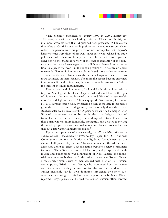"The Second," published 6 January 1894 in *Das Magazin für Litteratur*, dealt with another leading politician, Chancellor Caprivi, but in a more favorable light than Miquel had been presented.20 The essay's title refers to Caprivi's unenviable position as the empire's second chancellor. Comparison with his predecessor was inescapable, yet Caprivi's harshest critics were those of his own Junker caste who believed his trade policies afforded them too little protection. The detractors took greatest exception to the chancellor's view of the state as guarantor of the common good—a view Eisner regarded as enlightened beyond any expectation. In a speech that won him the undying malice of his brethren, Caprivi remarked: "Economic interests are always based more or less on egoism . . . whereas the state places demands on the willingness of its citizens to make sacrifices, on their idealism. The more the parties become entwined in economic life and its interests, the more it must be government's duty to represent the more ideal interests."

Perspicacious and circumspect, frank and forthright, colored with a tinge of "ideological liberalism," Caprivi had a distinct flaw in the eyes of his cavilers: he was not Bismarck, he lacked Bismarck's resourcefulness. "It is delightful indeed," Eisner quipped, "to look on, for example, as a Bavarian baron who, by hanging a sign at the gate to his palace grounds, bars entrance to 'dogs and Jews' brusquely demands . . . the Reichskanzler to be resourceful." A personality cult had emerged after Bismarck's retirement that ascribed to him the grand design to a host of triumphs that were in fact merely the workings of history. Thus it was that a man who was more honorable, thoughtful, and devoted to serving the whole people than was his predecessor was doomed to stand in his shadow, a fate Caprivi himself recognized.<sup>21</sup>

Upon the appearance of a new weekly, the *Mittwochsblatt für unsere vaterländische Gemeinsamkeit* (Wednesday Paper for Our National Community), put out by Moritz von Egidy as "complement to the dailies of all present-day parties," Eisner commended the editor's idealism and desire to effect a reconciliation between society's dissonant factions.22 The effort to create social harmony and prosperity through reason and beneficence was reminiscent of New Lanark, the industrial commune established by British utilitarian socialist Robert Owen. How starkly Owen's view of man clashed with that of his Prussian contemporary Friedrich von Gentz, who wondered how the masses were to be ruled if they became comfortable and independent! The Junker invariably saw his own dominion threatened by others' success. Demonstrating that his Kant was tempered now by Marx, Eisner rejected Egidy's premise and urged the former Prussian officer swayed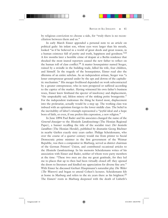by religious conviction to choose a side, for "truly there is no reconciliation between them and us."

In early March Eisner appended a personal note to an article on political guile: his infant son, whose eyes were larger than his mouth, looked "as if he believed in a world of great deeds and great reason, in a human existence full of purity and truth, happiness and goodness."23 A few months later a horrible crime of despair at a Berlin residence that shocked the most inured reporters caused the new father to reflect on the human toll of class conflict.<sup>24</sup> A master housepainter named Seeger, ruined by a swindle in the building trade, killed his wife, four children, and himself. In the tragedy of the housepainter, Eisner read also the dilemma of an entire subclass. As an independent artisan, Seeger was "a lesser entrepreneur ground under by the ups and downs of the capitalistic mechanism." His meager livelihood depended on work subcontracted by a greater entrepreneur, who in turn prospered or suffered according to the caprice of the market. Having witnessed his own father's business woes, Eisner knew firsthand the specter of insolvency and displacement, "the unspeakably sad, lifeless misery of the sinking petite bourgeoisie." For the independent tradesman the thing he feared most, displacement into the proletariat, actually would be a step up. The working class was imbued with an optimism foreign to the lower middle class. The belief in the inevitablity of labor's triumph represented a "joyful ideal and a hope born of faith, or even, if one prefers this expression, a new religion."

In June 1894 Paul Bader and his associates changed the name of the *General-Anzeiger* to the *Hessische Landeszeitung* (The Hessian Regional Paper), a banner recalling the title of the socialist tract *Der hessische Landbote* (The Hessian Herald), published by dramatist Georg Büchner in nearby Gießen exactly sixty years earlier. Philipp Scheidemann, who over the course of a quarter century would rise from printer to Social Democratic prime minister in the first government of the Weimar Republic, was then a compositor in Marburg, served as district chairman of the German Printers' Union, and contributed occasional articles to the *Hessische Landeszeitung*. In his memoirs Scheidemann writes of his association with Eisner and Bader, neither of whom were party members at the time: "These two men are due my great gratitude, for they led me to places that up to then had been virtually closed off: they opened the doors to literature and kindled my appreciation for diverse fine arts." With Eisner he discussed Gerhart Hauptmann's naturalist play *Die Weber* (*The Weavers*) and began to attend Cohen's lectures. Scheidemann felt at home in Marburg and refers to the six years there as his brightest.<sup>25</sup> The Eisners' roots in Marburg deepened with the death of Lisbeth's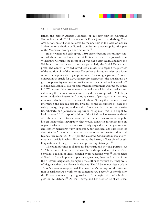father, the painter August Hendrich, at age fifty-four on Christmas Eve in Eberswalde.26 The next month Eisner joined the Marburg Civic Association, an affiliation followed by membership in the local Comenius Society, an organization dedicated to cultivating the pansophist principles of the Moravian theologian and educator.<sup>27</sup>

In late winter and early spring 1895 Eisner became increasingly concerned about encroachments on intellectual freedom. For journalists in Wilhelmine Germany the threat of jail was ever a grim reality, and now the Reichstag contrived anew to muzzle particularly the Social Democratic press. The Center Party had introduced a measure to expand the purview of the sedition bill of the previous December to include atheism as a form of subversion punishable by imprisonment, "whereby, apparently," Eisner quipped in an article for *Das Magazin für Litteratur*, "the soul should be given opportunity to convince itself somewhat earlier of its immortality." He invoked Spinoza's call for total freedom of thought and speech, issued in 1670, against this current assault on intellectual life and warned against entrusting the national conscience to a judiciary composed of "old boys from the dueling fraternities" who, by virtue of passing an exam or two, now ruled absolutely over the fate of others. Noting that the courts had interpreted the lèse-majesté law broadly, to the discomfort of even the solidly bourgeois press, he demanded "complete freedom of every artistic, scholarly, and journalistic expression of opinion that is brought to heel by *none*."28 In a spoof edition of the *Hessische Landeszeitung* dated 26 February, the editors announced that rather than continue to publish an independent newspaper, they would convert it forthwith into an organ of whichever party was most closely aligned with the government and eschew henceforth "any opposition, any criticism, any expression of dissatisfaction" in order to concentrate on reporting market prices and temperature readings. On 7 April the *Hessische Landeszeitung* ran anonymously an article in which Eisner traced the history of laws aimed at stifling criticism of the government and preserving status quo.<sup>29</sup>

The political editor took time for belletristic and personal pursuits. As "E." he wrote a minute description of the landscape and inhabitants of the Schwalm, a region of Hesse bisected by its namesake river.<sup>30</sup> Its residents differed markedly in physical appearance, manner, dress, and custom from their Hessian neighbors, prompting the author to venture that they were of Magyar rather than Germanic descent. The 29 September issue of the *Hessische Landeszeitung* printed Reinhard Fern's musings on the attribution of Shakespeare's works to his contemporary Bacon.31 A month later the Eisners announced by engraved card "the joyful birth of a healthy girl" on 23 October.<sup>32</sup> As Ilse Hedwig and her brother Reinhard grew,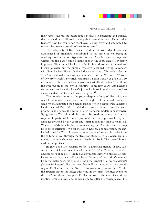their father savored the pedagogue's pleasure in parenting and insisted that the children be allowed to enjoy their natural freedom. He recorded tenderly how his young son wept over a dead crow and attempted to revive it by pressing crumbs of cake to its beak.<sup>33</sup>

The collegiality of Bader's staff, so different from what Eisner had experienced in Frankfurt, contributed to his sense of well-being in Marburg. Johann Becker, typesetter for the *Hessische Landeszeitung*, had written for the paper some peasant tales in the local dialect. Favorably impressed, Eisner urged Becker to submit his work to one of the national literary journals, but the humble typesetter declined. Acting in concert with Frau Becker, Eisner obtained the manuscript of Becker's "Next in Line" and entered it in a contest announced in the 28 June 1896 issue of *Die Hilfe* (Help), Friedrich Naumann's Berlin weekly. A prize of 120 marks was to be awarded for a story realistically depicting "the life of the little people in the city or country." Some fifty years later Becker's son remembered vividly Eisner's joy as he burst into the household to announce that the story had taken first prize.<sup>34</sup>

The prevalent mood at the paper, despite a flurry of libel suits, was one of indomitable mirth, for Eisner brought to his editorial duties the same wit that animated the Sperans articles. When a semiliterate vegetable handler named Paul Zörb confided to Eisner a desire to see his name printed in the paper, the editor offered to accommodate him everyday. By agreement Zörb allowed his name to be listed on the masthead as the responsible party, while Eisner promised that the paper would pay any damages awarded by the court and smart money for time spent in jail. Whenever Zörb drew his brief confinements, the *Hessische Landeszeitung* hired three carriages—two for the Seven Ravens, a popular band, the garlanded third for Zörb alone—to convey the feted vegetable dealer from the editorial offices through the streets of Marburg to jail. When his time was up, the same show was made to fetch him back. The townsfolk reveled in the spectacle.35

In July 1896 Dr. Richard Wrede, a journalist trained in law, succeeded Karl Schneidt as editor of *Die Kritik* (The Critique), a weekly devoted to "public life." Wrede had contracted Eisner to provide a regular commentary to lead off each issue. Because of the author's remove from the metropolis, his thoughts took the general title *Provinzialbriefe* (Provincial Letters). For the new forum Eisner adopted a new pseudonym, Tat-Twam, from the Sanskrit *tat twam asi*: you are thus.36 Like the Sperans pieces, the *Briefe* addressed in the main "political events of the day." For almost two years Tat-Twam goaded the worthies until his identity became known and he was made to suffer the consequences. He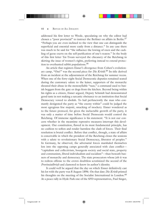addressed his first letter to Wrede, speculating on why the editor had chosen a "poor provincial" to instruct the Berliner on affairs in Berlin.<sup>37</sup> "Perhaps you are even inclined to the view that one can distinguish the superficial and essential more easily from a distance." In any case there was much to be said for "the influence the lowing of oxen and the cackling of geese exerts on the self-purification of one's reason." In the body of this first letter Tat-Twam surveyed the chicanery of the Reichstag in skirting the issue of women's rights, preferring instead to extend protection to overhunted rabbit populations.38

An article that registers Eisner's divergence from Cohen's evolutionary camp, "Out!" was the second piece for *Die Kritik*. 39 Its title derived from an incident at the adjournment of the Reichstag for summer recess. When one of the forty-eight Social Democratic deputies remained seated during the customary salute to the kaiser, supporters of the monarchy shouted their abuse in the monosyllable "raus," a command used to banish beggars from the gate or dogs from the kitchen. Beyond being within his rights as a citizen, Eisner argued, Deputy Schmidt had demonstrated good taste in not making a sarcastic obeisance to an institution that Social Democrary vowed to abolish. To hail perfunctorily the man who constantly denigrated the party as "the enemy within" could be judged the most egregious lèse majesté, smacking of mockery. Eisner wondered as to the future protocol, for given the ineluctable growth of the party, it was only a matter of time before Social Democrats would control the Reichstag. Of immense significance is his statement: "It is not our concern whether in the meantime repressive measures interrupt this development. Our constitution, flawed in its most fundamental principle, has no cushion to soften and render harmless the clash of forces. Their final resolution is brutal conflict. Before that conflict, though, a state of affairs is conceivable in which the president of the Reichstag closes the sessions with a salute to revolutionary Social Democracy, liberator of peoples." In Germany, he observed, the adversarial forces marshaled themselves less into the opposing camps generally associated with class conflict— "capitalism and collectivism, bourgeois society and social state, property and communism, liberal individualism and socialism"—than beneath banners of monarchy and democracy. The state prosecutors whose job it was to redress offense to the crown doubtless scrutinized the second of the *Provinzialbriefe* and clamored to know its author's identity.

It could well be argued that the day on which Eisner definitively cast his lot with the party was 8 August 1896. On that date *Die Kritik* printed his thoughts on the meeting of the Socialist International in London.<sup>40</sup> At a peace rally in Hyde Park one of the SPD representatives, Paul Singer,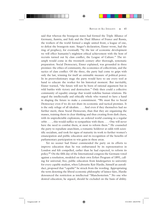said that whereas the bourgeois states had formed the Triple Alliance of Germany, Austria, and Italy and the Dual Alliance of France and Russia, the workers of the world formed a single united front, a league of one, to defeat the bourgeois state. Singer's declaration, Eisner wrote, had the ring of prophecy, for eventually "by the law of economic development we will effect humanity's mightiest ethical achievement with the host of recruits turned out by class conflict, the League of Culture." The triumph would come in the twentieth century after thorough, systematic preparation. Social Democrary, Eisner explained, was grounded in three premises: the ethics of community, the economics of collectivism, and the tactics of class conflict. Of the three, the party had come to grips with only the last, winning for itself an estimable measure of political power. In its prerevolutionary stage the party would have to use every tool at hand to educate the worker for his historical moment. But inevitably, Eisner warned, "the future will not be born of rational argument but in wild battles with victory and destruction." Only then could a collective community of equality emerge that would redefine human relations. He urged the intellectually and ethically whole who wanted to have a hand in shaping the future to make a commitment. "We must flee to Social Democracy even if we do not share its economic and tactical premises. It is the only refuge of all idealists. . . . And even if they themselves had no further merit, these Social Democrats, than that they are organizing the masses, training them in clear thinking and thus creating from dark chaos, with its unpredictable explosions, an ordered world coursing in a regular orbit . . . , this would suffice to sympathize with them. . . . One will never have the need to combat them, at most to reform them." He counseled the party to repudiate anarchism, a romantic holdover at odds with scientific socialism, and took for signs of maturity its work to further women's emancipation and public education and its recognition of the benefits of parliamentary participation to win gains in these areas.

Yet no sooner had Eisner commended the party on its efforts to improve education than he was embarrassed by its representatives in London and felt compelled, earlier than he had expected, to reform its policy.41 On the fifth day of the International congress the Germans voted against a resolution, modeled on their own Erfurt Program of 1891, calling for universal, free, public education from kindergarten to university for every capable student, when Labourite Keir Hardie, himself an autodidact, proposed that "capable" be struck from the wording. Appropriating the term denoting the liberal economic philosophy of laissez-faire, Hardie denounced the restriction as intellectual "Manchesterism." No one who desired education, he argued, should be excluded on the basis of ability.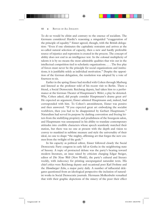To do so would be elitist and contrary to the essence of socialism. The Germans considered Hardie's reasoning a misguided "exaggeration of the principle of equality." Eisner agreed, though, with the British delegation: "Even if one eliminates the capitalistic restraints and arrives at the so-called natural selection of capacity, then a new and hardly preferable source of injustice and repression is created in the process. The concept of ability does not end in an intelligence test. In the colossal multiplicity of talents it is by no means the most admirable qualities that win out in the intellectual competition tied to scholastic organizations. . . . The free play of forces must never be the principle for social organizations and institutions; it is justifiable solely as individual motivation." Despite the opposition of the German delegation, the resolution was adopted by a vote of fourteen to six.

Earlier in the spring Eisner had strolled with Cohen through Marburg and listened as the professor told of his recent visit to Berlin. There a friend, a Social Democratic Reichstag deputy, had taken him to a performance at the German Theater of Hauptmann's *Weber*, a play he detested. Why, Cohen asked, did people consider Hauptmann's drama great art? He expected an argument; Eisner admired Hauptmann and, indeed, had corresponded with him. To Cohen's astonishment, Eisner was pensive and then answered: "If you expected great art embodying the socialist worldview, then you had to be disappointed by Gerhart Hauptmann." Naturalism had served its purpose by dashing convention and freeing letters from the stultifying propriety and prudishness of the bourgeois salon, and Hauptmann was unsurpassed in his ability to translate contemporary attitudes into credible characters whose speech seamlessly matched their station, but there was no one at present with the depth and vision to convey to mankind in sublime measure and style the universality of their ideal, no one to shape "the mighty, affirming art that forges the new cosmos from the twilight of the gods."

In his capacity as political editor, Eisner followed closely the Social Democratic Party congress in early fall at Gotha in the neighboring state of Saxony. A topic of protracted debate was the party's bearing toward modern literature, an issue raised by criticism charging Edgar Steiger, editor of *Die Neue Welt* (New World), the party's cultural and literary weekly, with indecency for printing unexpurgated naturalist texts. His chief critics were Reichstag deputy and occasional poet Karl Frohme and the *Hamburger Echo*, a major party daily. A number of influential delegates questioned from an ideological perspective the inclusion of naturalist works in Social Democratic journals. Hermann Molkenbuhr remarked that with their graphic depictions of the misery of the poor their effect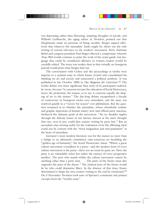was depressing rather than liberating, inspiring thoughts of suicide, and Wilhelm Liebknecht, the aging editor of *Vorwärts*, pointed out that Hauptmann made no pretense of being socialist. Steiger argued effectively that whatever the naturalists' faults might be, theirs was the only writing of current relevance to the workers' movement. Party chairman Bebel and congress president Paul Singer effected a compromise whereby *Neue Welt* would continue to print the work of the avant-garde, but language that could be considered offensive to women readers would be carefully edited. The irony was weaker then in that virtually no bourgeois journal would print what Steiger had run.

The conversation with Cohen and the proceedings at Gotha were impetus to a seminal essay in which Eisner revised and consolidated his thinking on art and society and enunciated a political aesthetic. It was published in late October 1896 in *Das Magazin für Litteratur*. 42 The Gotha debate was more significant than most of its participants realized, he wrote, because "it concerns not just the education of Social Democracy, hence the proletariat, the masses, as to art; it concerns equally the shaping of art to the masses." The day-long debate encapsulated a decade of controversy in bourgeois circles over naturalism, and the issue was resolved quickly in a "victory for reason" over philistinism. But the question remained as to whether the naturalists, whose relentlessly realistic and graphic depictions of human misery now had official party sanction, furthered the ultimate goals of the movement. "An icy shudder ripples through the delicate bones of our literary mavens at the mere thought that one, even in jest, could dare require writing by party line." But an ascendant class striving nobly for the realization of its life-affirming ideal could not be content with the "tired resignation and arid pessimism" at the heart of naturalism.

Germany's most modern literature was for the masses no more than a bridge to an ultimately committed, class-conscious art heralding the "golden age of humanity," the Social Democratic vision. "Where a great culture movement crystallizes in a party—and the modern form of every culture movement is the party—there too art must be party art. Here the party is no refundable ticket but rather the essence of every progressive intellect. The poet who stands within the culture movement cannot be anything other than a party man. . . . The party of the future must also engender the poet of the future." The classical poet of the future would be he who could dramatize Marx. In the absence of that titan, Eisner determined to shape his own creative writing to the end he envisioned.<sup>43</sup> On 3 November *Vorwärts* took note of Sperans's comments and printed excerpts from the "worthy essay."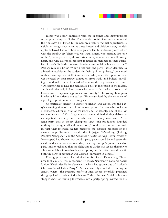Eisner was deeply impressed with the openness and ingenuousness of the proceedings at Gotha. The way the Social Democrats conducted their business he likened to the new architecture that left superstructure visible. Although debate was at times heated and division sharp, the delegates behaved like members of a greater family, addressing each other with the familiar *du*. Their head was Paul Singer, who presided like one of the "Jewish patriarchs, almost extinct now, who with iron will, loving heart, and wise discretion brought together all members in their guardianship each Sabbath, however hostile some individuals cared to be." Perhaps recalling Bruno Wille's break with the party, Eisner identified as a breed of recalcitrant the students in their "political puberty," convinced of their own superior intellect and reason, who, when their point of view was rejected by their sturdy comrades, broke ranks and bolted, unwilling to undertake the tedious task of winning their opponents over time: "One simply has to have the democratic belief in the reason of the masses, and it solidifies only in later years when one has learned to abstract and knows how to separate appearance from reality." The young, bourgeois intellectuals' impatience was stoked, Eisner surmised, by the assurance of a privileged position in the existing state.

Of particular interest to Eisner, journalist and editor, was the party's changing view of the role of its own press. The venerable Wilhelm Liebknecht, editor in chief of *Vorwärts* and, at seventy, one of the last socialist leaders of Marx's generation, was criticized during debate as incompetent—a charge with which Eisner ruefully concurred. "The same party that in theory champions large-scale production founded nothing but puny, small-scale operations," local papers so poor in quality that their intended readers preferred the superior products of the enemy camp. Recently, though, the *Leipziger Volkszeitung* (Leipzig People's Newspaper) and the *Sächsische Arbeiter-Zeitung* (Saxon Workers' Newspaper) had shown how good a party paper could be and strengthened the demand for a national daily befitting Europe's premier socialist party. Eisner reckoned that the delegates at Gotha had set for themselves a herculean labor in overhauling their press, but the effort would benefit both the party in particular and German journalism in general.<sup>44</sup>

Having proclaimed his admiration for Social Democracy, Eisner now took aim at a rival movement, Friedrich Naumann's National Social Union (Verein der Nationalsozialen), which had grown out of Stöcker's Christian Social Labor Party.45 At their recently concluded meeting in Erfurt, where "the Freiburg professor Max Weber cheerfully preached the gospel of a radical individualism," the National Social adherents stopped short of forming themselves into a party, opting instead for the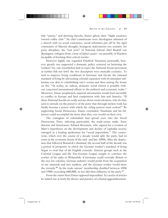title "union," and showing thereby, Eisner gibed, their "slight tendency toward coffee club." Its chief constituents were theologians ashamed of a church with no social conscience, social reformers put off by the rigid constraints of Marxist thought, bourgeois malcontents too sensitive for party discipline, the "lost sons" of National Liberal chief Rudolf von Bennigsen, refugees from a host of failed causes—an assembly of Hamlets incapable of forming their critical resolve.

However highly one regarded Friedrich Naumann personally, however greatly one supported a domestic policy centered on bettering the workers' lot, one nonetheless had to reject the National Social movement as neither fish nor fowl: the two descriptors were mutually exclusive. To seek to improve living conditions in Germany and elevate the national standard of living by advocating colonial expansion with its attendant militarism was akin to refurbishing one's rooms and then setting the house on fire. "In reality, no radical, domestic social reform is possible without concerted international efforts in the political and economic realm." Moreover, Eisner prophesied, imperial adventurism would lead inevitably to conflict in Europe and fatal competition with Asia and America. "If these National Socials are really serious about social salvation, why do they seek to intrude on the preserve of the party that through tireless work has finally become a power with which the ruling powers must reckon?" By supporting Social Democracy, Eisner concluded, Naumann and his followers could accomplish far more than they ever would on their own.

The contagion of colonialism had spread even into the Social Democratic Party, infecting particularly the trade-union ranks. Party theorist and functionary Eduard Bernstein, who argued for a revision of Marx's hypotheses on the development and decline of capitalist society, emerged as a leading spokesman for "social imperialism." The controversy, which over the course of a decade would split the party, had its roots in the economic boom of the mid- and late-1890s. After the depression that followed Bismarck's dismissal, the second half of the decade was a period of prosperity in which the German worker's standard of living began to rival that of his English comrade. Interest groups such as the Colonial League and the Pan-German League sought to convince the worker of his stake in Weltpolitik: if Germany could overtake Britain in the race for colonies, German industry would profit from the acquisition of raw materials and new markets, and the German worker would share the rewards.46 As the trade unions' membership doubled between 1896 and 1900, exceeding 600,000, so too did their influence in the party.<sup>47</sup>

From the outset Kurt Eisner opposed imperialism. In a series of articles he lashed out at both the theory and practice of colonial aggrandizement.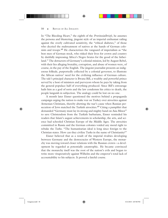In "The Bleeding Heart," the eighth of the *Provinzialbriefe*, he assumes the persona and blustering, jingoist style of an imperial enthusiast railing against the overly cultivated sensitivity, the "ethical diabetes," of those who decried the maltreatment of natives at the hands of German colonists and troops.48 He characterizes the vanguard of imperialism as "the best men of German stock, who risked their lives for crown and country by dutifully impressing Africa's Negro brutes for the good of the fatherland." The detractors of Germany's colonial mission, led by August Bebel, with their lies alleging brutality, corruption, and abuse of women were, of course, in the pay of the English. The jingoist journalist presents an indigenous folktale, purportedly collected by a colonial governor, to illustrate the African natives' need for the civilizing influence of German culture. The tale's principal character is Bwana Bill, a wealthy and powerful prince served by a host of ministers and purveyors whom he pays by taking from the general populace half of everything produced. Since Bill's entourage hails him as a god of sorts and the law condemns his critics to death, the people languish in subjection. The analogy could be lost on no one.

A month later Eisner questioned the motives behind a propaganda campaign urging the nation to make war on Turkey over atrocities against Armenian Christians, thereby abetting the tsar's cause when Russian persecution of Jews matched the Turkish atrocities.<sup>49</sup> Citing a pamphlet that demanded "Germany must lay its strong and mighty hand on Asia Minor" to save Christendom from the Turkish barbarians, Eisner reminded his readers that Islam's august achievements in scholarship, the arts, and science had schooled Christian Europe of the Middle Ages. The atrocities committed in Russia and the German colonies voided any moral right to rebuke the Turks. "The humanitarian ideal is long since foreign to the Christian states. How can they civilize Turks in the name of Christianity?"

Eisner believed that as a result of the imperial rivalries developing between Germany and the democracies of Western Europe, the monarchy was moving toward closer relations with the Russian crown—a development he regarded as potentially catastrophic. He became convinced that the monarchy itself was the root of the nation's evils and began to write more vituperatively against Wilhelm and the emperor's total lack of accountability to his subjects. It proved a fateful course.